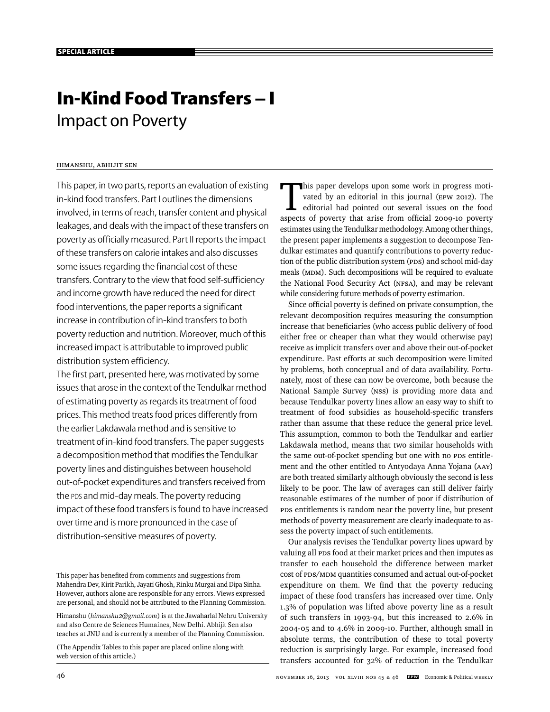# **In-Kind Food Transfers – I** Impact on Poverty

# Himanshu, Abhijit Sen

This paper, in two parts, reports an evaluation of existing in-kind food transfers. Part I outlines the dimensions involved, in terms of reach, transfer content and physical leakages, and deals with the impact of these transfers on poverty as officially measured. Part II reports the impact of these transfers on calorie intakes and also discusses some issues regarding the financial cost of these transfers. Contrary to the view that food self-sufficiency and income growth have reduced the need for direct food interventions, the paper reports a significant increase in contribution of in-kind transfers to both poverty reduction and nutrition. Moreover, much of this increased impact is attributable to improved public distribution system efficiency.

The first part, presented here, was motivated by some issues that arose in the context of the Tendulkar method of estimating poverty as regards its treatment of food prices. This method treats food prices differently from the earlier Lakdawala method and is sensitive to treatment of in-kind food transfers. The paper suggests a decomposition method that modifies the Tendulkar poverty lines and distinguishes between household out-of-pocket expenditures and transfers received from the PDS and mid-day meals. The poverty reducing impact of these food transfers is found to have increased over time and is more pronounced in the case of distribution-sensitive measures of poverty.

This paper has benefited from comments and suggestions from Mahendra Dev, Kirit Parikh, Jayati Ghosh, Rinku Murgai and Dipa Sinha. However, authors alone are responsible for any errors. Views expressed are personal, and should not be attributed to the Planning Commission.

Himanshu (*himanshu2@gmail.com*) is at the Jawaharlal Nehru University and also Centre de Sciences Humaines, New Delhi. Abhijit Sen also teaches at JNU and is currently a member of the Planning Commission.

(The Appendix Tables to this paper are placed online along with web version of this article.)

This paper develops upon some work in progress motivated by an editorial in this journal (EPW 2012). The editorial had pointed out several issues on the food vated by an editorial in this journal (EPW 2012). The editorial had pointed out several issues on the food aspects of poverty that arise from official 2009-10 poverty estimates using the Tendulkar methodology. Among other things, the present paper implements a suggestion to decompose Tendulkar estimates and quantify contributions to poverty reduction of the public distribution system (PDS) and school mid-day meals (MDM). Such decompositions will be required to evaluate the National Food Security Act (NFSA), and may be relevant while considering future methods of poverty estimation.

Since official poverty is defined on private consumption, the relevant decomposition requires measuring the consumption increase that beneficiaries (who access public delivery of food either free or cheaper than what they would otherwise pay) receive as implicit transfers over and above their out-of-pocket expenditure. Past efforts at such decomposition were limited by problems, both conceptual and of data availability. Fortunately, most of these can now be overcome, both because the National Sample Survey (NSS) is providing more data and because Tendulkar poverty lines allow an easy way to shift to treatment of food subsidies as household-specific transfers rather than assume that these reduce the general price level. This assumption, common to both the Tendulkar and earlier Lakdawala method, means that two similar households with the same out-of-pocket spending but one with no PDS entitlement and the other entitled to Antyodaya Anna Yojana (AAY) are both treated similarly although obviously the second is less likely to be poor. The law of averages can still deliver fairly reasonable estimates of the number of poor if distribution of PDS entitlements is random near the poverty line, but present methods of poverty measurement are clearly inadequate to assess the poverty impact of such entitlements.

Our analysis revises the Tendulkar poverty lines upward by valuing all PDS food at their market prices and then imputes as transfer to each household the difference between market cost of PDS/MDM quantities consumed and actual out-of-pocket expenditure on them. We find that the poverty reducing impact of these food transfers has increased over time. Only 1.3% of population was lifted above poverty line as a result of such transfers in 1993-94, but this increased to 2.6% in 2004-05 and to 4.6% in 2009-10. Further, although small in absolute terms, the contribution of these to total poverty reduction is surprisingly large. For example, increased food transfers accounted for 32% of reduction in the Tendulkar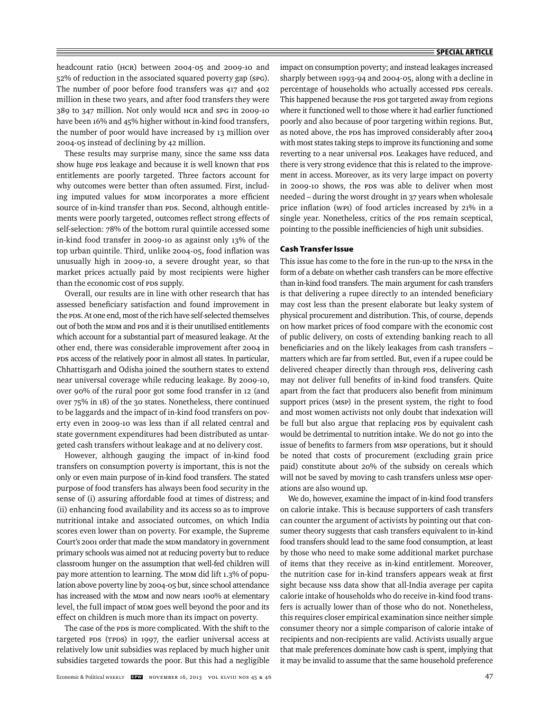headcount ratio (HCR) between 2004-05 and 2009-10 and 52% of reduction in the associated squared poverty gap (SPG). The number of poor before food transfers was 417 and 402 million in these two years, and after food transfers they were 389 to 347 million. Not only would HCR and SPG in 2009-10 have been 16% and 45% higher without in-kind food transfers, the number of poor would have increased by 13 million over 2004-05 instead of declining by 42 million.

These results may surprise many, since the same NSS data show huge PDS leakage and because it is well known that PDS entitlements are poorly targeted. Three factors account for why outcomes were better than often assumed. First, including imputed values for MDM incorporates a more efficient source of in-kind transfer than PDS. Second, although entitlements were poorly targeted, outcomes reflect strong effects of self-selection: 78% of the bottom rural quintile accessed some in-kind food transfer in 2009-10 as against only 13% of the top urban quintile. Third, unlike 2004-05, food inflation was unusually high in 2009-10, a severe drought year, so that market prices actually paid by most recipients were higher than the economic cost of PDS supply.

Overall, our results are in line with other research that has assessed beneficiary satisfaction and found improvement in the PDS. At one end, most of the rich have self-selected themselves out of both the MDM and PDS and it is their unutilised entitlements which account for a substantial part of measured leakage. At the other end, there was considerable improvement after 2004 in PDS access of the relatively poor in almost all states. In particular, Chhattisgarh and Odisha joined the southern states to extend near universal coverage while reducing leakage. By 2009-10, over 90% of the rural poor got some food transfer in 12 (and over 75% in 18) of the 30 states. Nonetheless, there continued to be laggards and the impact of in-kind food transfers on poverty even in 2009-10 was less than if all related central and state government expenditures had been distributed as untargeted cash transfers without leakage and at no delivery cost.

However, although gauging the impact of in-kind food transfers on consumption poverty is important, this is not the only or even main purpose of in-kind food transfers. The stated purpose of food transfers has always been food security in the sense of (i) assuring affordable food at times of distress; and (ii) enhancing food availability and its access so as to improve nutritional intake and associated outcomes, on which India scores even lower than on poverty. For example, the Supreme Court's 2001 order that made the MDM mandatory in government primary schools was aimed not at reducing poverty but to reduce classroom hunger on the assumption that well-fed children will pay more attention to learning. The MDM did lift 1.3% of population above poverty line by 2004-05 but, since school attendance has increased with the MDM and now nears 100% at elementary level, the full impact of MDM goes well beyond the poor and its effect on children is much more than its impact on poverty.

The case of the PDS is more complicated. With the shift to the targeted PDS (TPDS) in 1997, the earlier universal access at relatively low unit subsidies was replaced by much higher unit subsidies targeted towards the poor. But this had a negligible

impact on consumption poverty; and instead leakages increased sharply between 1993-94 and 2004-05, along with a decline in percentage of households who actually accessed PDS cereals. This happened because the PDS got targeted away from regions where it functioned well to those where it had earlier functioned poorly and also because of poor targeting within regions. But, as noted above, the PDS has improved considerably after 2004 with most states taking steps to improve its functioning and some reverting to a near universal PDS. Leakages have reduced, and there is very strong evidence that this is related to the improvement in access. Moreover, as its very large impact on poverty in 2009-10 shows, the PDS was able to deliver when most needed – during the worst drought in 37 years when wholesale price inflation (WPI) of food articles increased by 21% in a single year. Nonetheless, critics of the PDS remain sceptical, pointing to the possible inefficiencies of high unit subsidies.

#### **Cash Transfer Issue**

This issue has come to the fore in the run-up to the NFSA in the form of a debate on whether cash transfers can be more effective than in-kind food transfers. The main argument for cash transfers is that delivering a rupee directly to an intended beneficiary may cost less than the present elaborate but leaky system of physical procurement and distribution. This, of course, depends on how market prices of food compare with the economic cost of public delivery, on costs of extending banking reach to all beneficiaries and on the likely leakages from cash transfers matters which are far from settled. But, even if a rupee could be delivered cheaper directly than through PDS, delivering cash may not deliver full benefits of in-kind food transfers. Quite apart from the fact that producers also benefit from minimum support prices (MSP) in the present system, the right to food and most women activists not only doubt that indexation will be full but also argue that replacing PDS by equivalent cash would be detrimental to nutrition intake. We do not go into the issue of benefits to farmers from MSP operations, but it should be noted that costs of procurement (excluding grain price paid) constitute about 20% of the subsidy on cereals which will not be saved by moving to cash transfers unless MSP operations are also wound up.

We do, however, examine the impact of in-kind food transfers on calorie intake. This is because supporters of cash transfers can counter the argument of activists by pointing out that consumer theory suggests that cash transfers equivalent to in-kind food transfers should lead to the same food consumption, at least by those who need to make some additional market purchase of items that they receive as in-kind entitlement. Moreover, the nutrition case for in-kind transfers appears weak at first sight because NSS data show that all-India average per capita calorie intake of households who do receive in-kind food transfers is actually lower than of those who do not. Nonetheless, this requires closer empirical examination since neither simple consumer theory nor a simple comparison of calorie intake of recipients and non-recipients are valid. Activists usually argue that male preferences dominate how cash is spent, implying that it may be invalid to assume that the same household preference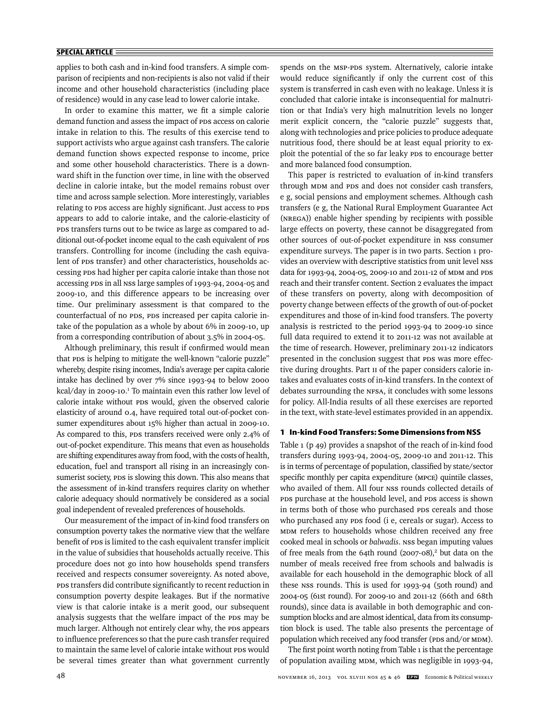applies to both cash and in-kind food transfers. A simple comparison of recipients and non-recipients is also not valid if their income and other household characteristics (including place of residence) would in any case lead to lower calorie intake.

In order to examine this matter, we fit a simple calorie demand function and assess the impact of PDS access on calorie intake in relation to this. The results of this exercise tend to support activists who argue against cash transfers. The calorie demand function shows expected response to income, price and some other household characteristics. There is a downward shift in the function over time, in line with the observed decline in calorie intake, but the model remains robust over time and across sample selection. More interestingly, variables relating to PDS access are highly significant. Just access to PDS appears to add to calorie intake, and the calorie-elasticity of PDS transfers turns out to be twice as large as compared to additional out-of-pocket income equal to the cash equivalent of PDS transfers. Controlling for income (including the cash equivalent of PDS transfer) and other characteristics, households accessing PDS had higher per capita calorie intake than those not accessing PDS in all NSS large samples of 1993-94, 2004-05 and 2009-10, and this difference appears to be increasing over time. Our preliminary assessment is that compared to the counterfactual of no PDS, PDS increased per capita calorie intake of the population as a whole by about 6% in 2009-10, up from a corresponding contribution of about 3.5% in 2004-05.

Although preliminary, this result if confirmed would mean that PDS is helping to mitigate the well-known "calorie puzzle" whereby, despite rising incomes, India's average per capita calorie intake has declined by over 7% since 1993-94 to below 2000 kcal/day in 2009-10.<sup>1</sup> To maintain even this rather low level of calorie intake without PDS would, given the observed calorie elasticity of around 0.4, have required total out-of-pocket consumer expenditures about 15% higher than actual in 2009-10. As compared to this, PDS transfers received were only 2.4% of out-of-pocket expenditure. This means that even as households are shifting expenditures away from food, with the costs of health, education, fuel and transport all rising in an increasingly consumerist society, PDS is slowing this down. This also means that the assessment of in-kind transfers requires clarity on whether calorie adequacy should normatively be considered as a social goal independent of revealed preferences of households.

Our measurement of the impact of in-kind food transfers on consumption poverty takes the normative view that the welfare benefit of PDS is limited to the cash equivalent transfer implicit in the value of subsidies that households actually receive. This procedure does not go into how households spend transfers received and respects consumer sovereignty. As noted above, PDS transfers did contribute significantly to recent reduction in consumption poverty despite leakages. But if the normative view is that calorie intake is a merit good, our subsequent analysis suggests that the welfare impact of the PDS may be much larger. Although not entirely clear why, the PDS appears to influence preferences so that the pure cash transfer required to maintain the same level of calorie intake without PDS would be several times greater than what government currently spends on the MSP-PDS system. Alternatively, calorie intake would reduce significantly if only the current cost of this system is transferred in cash even with no leakage. Unless it is concluded that calorie intake is inconsequential for malnutrition or that India's very high malnutrition levels no longer merit explicit concern, the "calorie puzzle" suggests that, along with technologies and price policies to produce adequate nutritious food, there should be at least equal priority to exploit the potential of the so far leaky PDS to encourage better and more balanced food consumption.

This paper is restricted to evaluation of in-kind transfers through MDM and PDS and does not consider cash transfers, e g, social pensions and employment schemes. Although cash transfers (e g, the National Rural Employment Guarantee Act (NREGA)) enable higher spending by recipients with possible large effects on poverty, these cannot be disaggregated from other sources of out-of-pocket expenditure in NSS consumer expenditure surveys. The paper is in two parts. Section 1 provides an overview with descriptive statistics from unit level NSS data for 1993-94, 2004-05, 2009-10 and 2011-12 of MDM and PDS reach and their transfer content. Section 2 evaluates the impact of these transfers on poverty, along with decomposition of poverty change between effects of the growth of out-of-pocket expenditures and those of in-kind food transfers. The poverty analysis is restricted to the period 1993-94 to 2009-10 since full data required to extend it to 2011-12 was not available at the time of research. However, preliminary 2011-12 indicators presented in the conclusion suggest that PDS was more effective during droughts. Part II of the paper considers calorie intakes and evaluates costs of in-kind transfers. In the context of debates surrounding the NFSA, it concludes with some lessons for policy. All-India results of all these exercises are reported in the text, with state-level estimates provided in an appendix.

## **1 In-kind Food Transfers: Some Dimensions from NSS**

Table 1 (p 49) provides a snapshot of the reach of in-kind food transfers during 1993-94, 2004-05, 2009-10 and 2011-12. This is in terms of percentage of population, classified by state/sector specific monthly per capita expenditure (MPCE) quintile classes, who availed of them. All four NSS rounds collected details of PDS purchase at the household level, and PDS access is shown in terms both of those who purchased PDS cereals and those who purchased any PDS food (i e, cereals or sugar). Access to MDM refers to households whose children received any free cooked meal in schools or *balwadis*. NSS began imputing values of free meals from the 64th round (2007-08),<sup>2</sup> but data on the number of meals received free from schools and balwadis is available for each household in the demographic block of all these NSS rounds. This is used for 1993-94 (50th round) and 2004-05 (61st round). For 2009-10 and 2011-12 (66th and 68th rounds), since data is available in both demographic and consumption blocks and are almost identical, data from its consumption block is used. The table also presents the percentage of population which received any food transfer (PDS and/or MDM).

The first point worth noting from Table 1 is that the percentage of population availing MDM, which was negligible in 1993-94,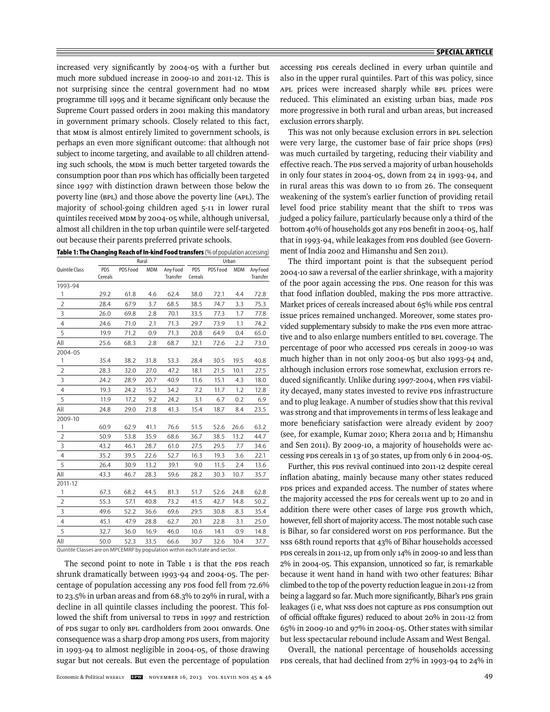increased very significantly by 2004-05 with a further but much more subdued increase in 2009-10 and 2011-12. This is not surprising since the central government had no MDM programme till 1995 and it became significant only because the Supreme Court passed orders in 2001 making this mandatory in government primary schools. Closely related to this fact, that MDM is almost entirely limited to government schools, is perhaps an even more significant outcome: that although not subject to income targeting, and available to all children attending such schools, the MDM is much better targeted towards the consumption poor than PDS which has officially been targeted since 1997 with distinction drawn between those below the poverty line (BPL) and those above the poverty line (APL). The majority of school-going children aged 5-11 in lower rural quintiles received MDM by 2004-05 while, although universal, almost all children in the top urban quintile were self-targeted out because their parents preferred private schools.

| Table 1: The Changing Reach of In-kind Food transfers (% of population accessing) |  |  |
|-----------------------------------------------------------------------------------|--|--|
|-----------------------------------------------------------------------------------|--|--|

|                                                                             |         |          | Rural      |          |            |          | Urban |          |
|-----------------------------------------------------------------------------|---------|----------|------------|----------|------------|----------|-------|----------|
| Quintile Class                                                              | PDS     | PDS Food | <b>MDM</b> | Any Food | <b>PDS</b> | PDS Food | MDM   | Any Food |
|                                                                             | Cereals |          |            | Transfer | Cereals    |          |       | Transfer |
| 1993-94                                                                     |         |          |            |          |            |          |       |          |
| 1                                                                           | 29.2    | 61.8     | 4.6        | 62.4     | 38.0       | 72.1     | 4.4   | 72.8     |
| $\overline{2}$                                                              | 28.4    | 67.9     | 3.7        | 68.5     | 38.5       | 74.7     | 3.3   | 75.3     |
| 3                                                                           | 26.0    | 69.8     | 2.8        | 70.1     | 33.5       | 77.3     | 1.7   | 77.8     |
| $\overline{4}$                                                              | 24.6    | 71.0     | 2.1        | 71.3     | 29.7       | 73.9     | 1.1   | 74.2     |
| 5                                                                           | 19.9    | 71.2     | 0.9        | 71.3     | 20.8       | 64.9     | 0.4   | 65.0     |
| All                                                                         | 25.6    | 68.3     | 2.8        | 68.7     | 32.1       | 72.6     | 2.2   | 73.0     |
| 2004-05                                                                     |         |          |            |          |            |          |       |          |
| 1                                                                           | 35.4    | 38.2     | 31.8       | 53.3     | 28.4       | 30.5     | 19.5  | 40.8     |
| $\overline{2}$                                                              | 28.3    | 32.0     | 27.0       | 47.2     | 18.1       | 21.5     | 10.1  | 27.5     |
| 3                                                                           | 24.2    | 28.9     | 20.7       | 40.9     | 11.6       | 15.1     | 4.3   | 18.0     |
| $\overline{4}$                                                              | 19.3    | 24.2     | 15.2       | 34.2     | 7.2        | 11.7     | 1.2   | 12.8     |
| 5                                                                           | 11.9    | 17.2     | 9.2        | 24.2     | 3.1        | 6.7      | 0.2   | 6.9      |
| All                                                                         | 24.8    | 29.0     | 21.8       | 41.3     | 15.4       | 18.7     | 8.4   | 23.5     |
| 2009-10                                                                     |         |          |            |          |            |          |       |          |
| 1                                                                           | 60.9    | 62.9     | 41.1       | 76.6     | 51.5       | 52.6     | 26.6  | 63.2     |
| $\overline{2}$                                                              | 50.9    | 53.8     | 35.9       | 68.6     | 36.7       | 38.5     | 13.2  | 44.7     |
| 3                                                                           | 43.2    | 46.1     | 28.7       | 61.0     | 27.5       | 29.5     | 7.7   | 34.6     |
| $\overline{4}$                                                              | 35.2    | 39.5     | 22.6       | 52.7     | 16.3       | 19.3     | 3.6   | 22.1     |
| 5                                                                           | 26.4    | 30.9     | 13.2       | 39.1     | 9.0        | 11.5     | 2.4   | 13.6     |
| All                                                                         | 43.3    | 46.7     | 28.3       | 59.6     | 28.2       | 30.3     | 10.7  | 35.7     |
| 2011-12                                                                     |         |          |            |          |            |          |       |          |
| 1                                                                           | 67.3    | 68.2     | 44.5       | 81.3     | 51.7       | 52.6     | 24.8  | 62.8     |
| $\overline{2}$                                                              | 55.3    | 57.1     | 40.8       | 73.2     | 41.5       | 42.7     | 14.8  | 50.2     |
| 3                                                                           | 49.6    | 52.2     | 36.6       | 69.6     | 29.5       | 30.8     | 8.3   | 35.4     |
| $\overline{4}$                                                              | 45.1    | 47.9     | 28.8       | 62.7     | 20.1       | 22.8     | 3.1   | 25.0     |
| 5                                                                           | 32.7    | 36.0     | 16.9       | 46.0     | 10.6       | 14.1     | 0.9   | 14.8     |
| All                                                                         | 50.0    | 52.3     | 33.5       | 66.6     | 30.7       | 32.6     | 10.4  | 37.7     |
| Quintile Classes are on MPCEMRP by population within each state and sector. |         |          |            |          |            |          |       |          |

The second point to note in Table 1 is that the PDS reach shrunk dramatically between 1993-94 and 2004-05. The percentage of population accessing any PDS food fell from 72.6% to 23.5% in urban areas and from 68.3% to 29% in rural, with a decline in all quintile classes including the poorest. This followed the shift from universal to TPDS in 1997 and restriction of PDS sugar to only BPL cardholders from 2001 onwards. One consequence was a sharp drop among PDS users, from majority in 1993-94 to almost negligible in 2004-05, of those drawing sugar but not cereals. But even the percentage of population

accessing PDS cereals declined in every urban quintile and also in the upper rural quintiles. Part of this was policy, since APL prices were increased sharply while BPL prices were reduced. This eliminated an existing urban bias, made PDS more progressive in both rural and urban areas, but increased exclusion errors sharply.

This was not only because exclusion errors in BPL selection were very large, the customer base of fair price shops (FPS) was much curtailed by targeting, reducing their viability and effective reach. The PDS served a majority of urban households in only four states in 2004-05, down from 24 in 1993-94, and in rural areas this was down to 10 from 26. The consequent weakening of the system's earlier function of providing retail level food price stability meant that the shift to TPDS was judged a policy failure, particularly because only a third of the bottom 40% of households got any PDS benefit in 2004-05, half that in 1993-94, while leakages from PDS doubled (see Government of India 2002 and Himanshu and Sen 2011).

The third important point is that the subsequent period 2004-10 saw a reversal of the earlier shrinkage, with a majority of the poor again accessing the PDS. One reason for this was that food inflation doubled, making the PDS more attractive. Market prices of cereals increased about 65% while PDS central issue prices remained unchanged. Moreover, some states provided supplementary subsidy to make the PDS even more attractive and to also enlarge numbers entitled to BPL coverage. The percentage of poor who accessed PDS cereals in 2009-10 was much higher than in not only 2004-05 but also 1993-94 and, although inclusion errors rose somewhat, exclusion errors reduced significantly. Unlike during 1997-2004, when FPS viability decayed, many states invested to revive PDS infrastructure and to plug leakage. A number of studies show that this revival was strong and that improvements in terms of less leakage and more beneficiary satisfaction were already evident by 2007 (see, for example, Kumar 2010; Khera 2011a and b; Himanshu and Sen 2011). By 2009-10, a majority of households were accessing PDS cereals in 13 of 30 states, up from only 6 in 2004-05.

Further, this PDS revival continued into 2011-12 despite cereal inflation abating, mainly because many other states reduced PDS prices and expanded access. The number of states where the majority accessed the PDS for cereals went up to 20 and in addition there were other cases of large PDS growth which, however, fell short of majority access. The most notable such case is Bihar, so far considered worst on PDS performance. But the NSS 68th round reports that 43% of Bihar households accessed PDS cereals in 2011-12, up from only 14% in 2009-10 and less than 2% in 2004-05. This expansion, unnoticed so far, is remarkable because it went hand in hand with two other features: Bihar climbed to the top of the poverty reduction league in 2011-12 from being a laggard so far. Much more significantly, Bihar's PDS grain leakages (i e, what NSS does not capture as PDS consumption out of official offtake figures) reduced to about 20% in 2011-12 from 65% in 2009-10 and 97% in 2004-05. Other states with similar but less spectacular rebound include Assam and West Bengal.

Overall, the national percentage of households accessing PDS cereals, that had declined from 27% in 1993-94 to 24% in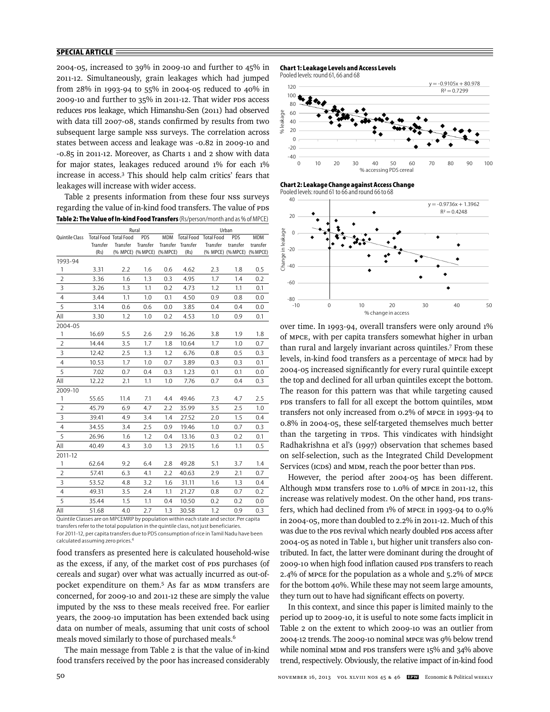2004-05, increased to 39% in 2009-10 and further to 45% in 2011-12. Simultaneously, grain leakages which had jumped from 28% in 1993-94 to 55% in 2004-05 reduced to 40% in 2009-10 and further to 35% in 2011-12. That wider PDS access reduces PDS leakage, which Himanshu-Sen (2011) had observed with data till 2007-08, stands confirmed by results from two subsequent large sample NSS surveys. The correlation across states between access and leakage was -0.82 in 2009-10 and -0.85 in 2011-12. Moreover, as Charts 1 and 2 show with data for major states, leakages reduced around 1% for each 1% increase in access.3 This should help calm critics' fears that leakages will increase with wider access.

Table 2 presents information from these four NSS surveys regarding the value of in-kind food transfers. The value of PDS **Table 2: The Value of In-kind Food Transfers** (Rs/person/month and as % of MPCE)

|                |                              |                   | Rural    |          |                   |                   | Urban      |            |
|----------------|------------------------------|-------------------|----------|----------|-------------------|-------------------|------------|------------|
| Quintile Class | <b>Total Food Total Food</b> |                   | PDS      | MDM      | <b>Total Food</b> | <b>Total Food</b> | <b>PDS</b> | <b>MDM</b> |
|                | Transfer                     | Transfer          | Transfer |          | Transfer Transfer | Transfer          | transfer   | transfer   |
|                | (Rs)                         | (% MPCE) (% MPCE) |          | (% MPCE) | (Rs)              | (% MPCE) (% MPCE) |            | (% MPCE)   |
| 1993-94        |                              |                   |          |          |                   |                   |            |            |
| 1              | 3.31                         | 2.2               | 1.6      | 0.6      | 4.62              | 2.3               | 1.8        | 0.5        |
| $\overline{2}$ | 3.36                         | 1.6               | 1.3      | 0.3      | 4.95              | 1.7               | 1.4        | 0.2        |
| 3              | 3.26                         | 1.3               | 1.1      | 0.2      | 4.73              | 1.2               | 1.1        | 0.1        |
| $\overline{4}$ | 3.44                         | 1.1               | 1.0      | 0.1      | 4.50              | 0.9               | 0.8        | 0.0        |
| 5              | 3.14                         | 0.6               | 0.6      | 0.0      | 3.85              | 0.4               | 0.4        | 0.0        |
| All            | 3.30                         | 1.2               | 1.0      | 0.2      | 4.53              | 1.0               | 0.9        | 0.1        |
| 2004-05        |                              |                   |          |          |                   |                   |            |            |
| 1              | 16.69                        | 5.5               | 2.6      | 2.9      | 16.26             | 3.8               | 1.9        | 1.8        |
| $\overline{2}$ | 14.44                        | 3.5               | 1.7      | 1.8      | 10.64             | 1.7               | 1.0        | 0.7        |
| 3              | 12.42                        | 2.5               | 1.3      | 1.2      | 6.76              | 0.8               | 0.5        | 0.3        |
| $\overline{4}$ | 10.53                        | 1.7               | 1.0      | 0.7      | 3.89              | 0.3               | 0.3        | 0.1        |
| 5              | 7.02                         | 0.7               | 0.4      | 0.3      | 1.23              | 0.1               | 0.1        | 0.0        |
| All            | 12.22                        | 2.1               | 1.1      | 1.0      | 7.76              | 0.7               | 0.4        | 0.3        |
| 2009-10        |                              |                   |          |          |                   |                   |            |            |
| $\mathbf{1}$   | 55.65                        | 11.4              | 7.1      | 4.4      | 49.46             | 7.3               | 4.7        | 2.5        |
| $\overline{2}$ | 45.79                        | 6.9               | 4.7      | 2.2      | 35.99             | 3.5               | 2.5        | 1.0        |
| 3              | 39.41                        | 4.9               | 3.4      | 1.4      | 27.52             | 2.0               | 1.5        | 0.4        |
| $\overline{4}$ | 34.55                        | 3.4               | 2.5      | 0.9      | 19.46             | 1.0               | 0.7        | 0.3        |
| 5              | 26.96                        | 1.6               | 1.2      | 0.4      | 13.16             | 0.3               | 0.2        | 0.1        |
| All            | 40.49                        | 4.3               | 3.0      | 1.3      | 29.15             | 1.6               | 1.1        | 0.5        |
| 2011-12        |                              |                   |          |          |                   |                   |            |            |
| 1              | 62.64                        | 9.2               | 6.4      | 2.8      | 49.28             | 5.1               | 3.7        | 1.4        |
| $\sqrt{2}$     | 57.41                        | 6.3               | 4.1      | 2.2      | 40.63             | 2.9               | 2.1        | 0.7        |
| 3              | 53.52                        | 4.8               | 3.2      | 1.6      | 31.11             | 1.6               | 1.3        | 0.4        |
| 4              | 49.31                        | 3.5               | 2.4      | 1.1      | 21.27             | 0.8               | 0.7        | 0.2        |
| 5              | 35.44                        | 1.5               | 1.1      | 0.4      | 10.50             | 0.2               | 0.2        | 0.0        |
| All            | 51.68                        | 4.0               | 2.7      | 1.3      | 30.58             | 1.2               | 0.9        | 0.3        |

Quintile Classes are on MPCEMRP by population within each state and sector. Per capita transfers refer to the total population in the quintile class, not just beneficiaries. For 2011-12, per capita transfers due to PDS consumption of rice in Tamil Nadu have been calculated assuming zero prices.<sup>4</sup>

food transfers as presented here is calculated household-wise as the excess, if any, of the market cost of PDS purchases (of cereals and sugar) over what was actually incurred as out-ofpocket expenditure on them.<sup>5</sup> As far as MDM transfers are concerned, for 2009-10 and 2011-12 these are simply the value imputed by the NSS to these meals received free. For earlier years, the 2009-10 imputation has been extended back using data on number of meals, assuming that unit costs of school meals moved similarly to those of purchased meals.<sup>6</sup>

The main message from Table 2 is that the value of in-kind food transfers received by the poor has increased considerably

#### **Chart 1: Leakage Levels and Access Levels**

Pooled levels: round 61, 66 and 68



**Chart 2: Leakage Change against Access Change**

Pooled levels: round 61 to 66 and round 66 to 68



over time. In 1993-94, overall transfers were only around 1% of MPCE, with per capita transfers somewhat higher in urban than rural and largely invariant across quintiles.7 From these levels, in-kind food transfers as a percentage of MPCE had by 2004-05 increased significantly for every rural quintile except the top and declined for all urban quintiles except the bottom. The reason for this pattern was that while targeting caused PDS transfers to fall for all except the bottom quintiles, MDM transfers not only increased from 0.2% of MPCE in 1993-94 to 0.8% in 2004-05, these self-targeted themselves much better than the targeting in TPDS. This vindicates with hindsight Radhakrishna et al's (1997) observation that schemes based on self-selection, such as the Integrated Child Development Services (ICDS) and MDM, reach the poor better than PDS.

However, the period after 2004-05 has been different. Although MDM transfers rose to 1.0% of MPCE in 2011-12, this increase was relatively modest. On the other hand, PDS transfers, which had declined from 1% of MPCE in 1993-94 to 0.9% in 2004-05, more than doubled to 2.2% in 2011-12. Much of this was due to the PDS revival which nearly doubled PDS access after 2004-05 as noted in Table 1, but higher unit transfers also contributed. In fact, the latter were dominant during the drought of 2009-10 when high food inflation caused PDS transfers to reach 2.4% of MPCE for the population as a whole and 5.2% of MPCE for the bottom 40%. While these may not seem large amounts, they turn out to have had significant effects on poverty.

In this context, and since this paper is limited mainly to the period up to 2009-10, it is useful to note some facts implicit in Table 2 on the extent to which 2009-10 was an outlier from 2004-12 trends. The 2009-10 nominal MPCE was 9% below trend while nominal MDM and PDS transfers were 15% and 34% above trend, respectively. Obviously, the relative impact of in-kind food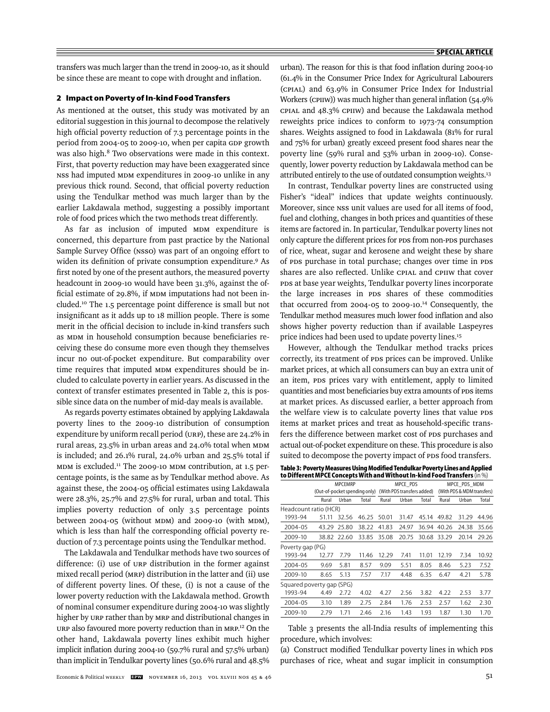transfers was much larger than the trend in 2009-10, as it should be since these are meant to cope with drought and inflation.

#### **2 Impact on Poverty of In-kind Food Transfers**

As mentioned at the outset, this study was motivated by an editorial suggestion in this journal to decompose the relatively high official poverty reduction of 7.3 percentage points in the period from 2004-05 to 2009-10, when per capita GDP growth was also high.<sup>8</sup> Two observations were made in this context. First, that poverty reduction may have been exaggerated since NSS had imputed MDM expenditures in 2009-10 unlike in any previous thick round. Second, that official poverty reduction using the Tendulkar method was much larger than by the earlier Lakdawala method, suggesting a possibly important role of food prices which the two methods treat differently.

As far as inclusion of imputed MDM expenditure is concerned, this departure from past practice by the National Sample Survey Office (NSSO) was part of an ongoing effort to widen its definition of private consumption expenditure.<sup>9</sup> As first noted by one of the present authors, the measured poverty headcount in 2009-10 would have been 31.3%, against the official estimate of 29.8%, if MDM imputations had not been included.10 The 1.5 percentage point difference is small but not insignificant as it adds up to 18 million people. There is some merit in the official decision to include in-kind transfers such as MDM in household consumption because beneficiaries receiving these do consume more even though they themselves incur no out-of-pocket expenditure. But comparability over time requires that imputed MDM expenditures should be included to calculate poverty in earlier years. As discussed in the context of transfer estimates presented in Table 2, this is possible since data on the number of mid-day meals is available.

As regards poverty estimates obtained by applying Lakdawala poverty lines to the 2009-10 distribution of consumption expenditure by uniform recall period (URP), these are 24.2% in rural areas, 23.5% in urban areas and 24.0% total when MDM is included; and 26.1% rural, 24.0% urban and 25.5% total if MDM is excluded.11 The 2009-10 MDM contribution, at 1.5 percentage points, is the same as by Tendulkar method above. As against these, the 2004-05 official estimates using Lakdawala were 28.3%, 25.7% and 27.5% for rural, urban and total. This implies poverty reduction of only 3.5 percentage points between 2004-05 (without MDM) and 2009-10 (with MDM), which is less than half the corresponding official poverty reduction of 7.3 percentage points using the Tendulkar method.

The Lakdawala and Tendulkar methods have two sources of difference: (i) use of URP distribution in the former against mixed recall period (MRP) distribution in the latter and (ii) use of different poverty lines. Of these, (i) is not a cause of the lower poverty reduction with the Lakdawala method. Growth of nominal consumer expenditure during 2004-10 was slightly higher by URP rather than by MRP and distributional changes in URP also favoured more poverty reduction than in MRP.<sup>12</sup> On the other hand, Lakdawala poverty lines exhibit much higher implicit inflation during 2004-10 (59.7% rural and  $57.5\%$  urban) than implicit in Tendulkar poverty lines (50.6% rural and 48.5%

urban). The reason for this is that food inflation during 2004-10 (61.4% in the Consumer Price Index for Agricultural Labourers (CPIAL) and 63.9% in Consumer Price Index for Industrial Workers (CPIIW)) was much higher than general inflation (54.9% CPIAL and 48.3% CPIIW) and because the Lakdawala method reweights price indices to conform to 1973-74 consumption shares. Weights assigned to food in Lakdawala (81% for rural and 75% for urban) greatly exceed present food shares near the poverty line (59% rural and 53% urban in 2009-10). Consequently, lower poverty reduction by Lakdawala method can be attributed entirely to the use of outdated consumption weights.13

In contrast, Tendulkar poverty lines are constructed using Fisher's "ideal" indices that update weights continuously. Moreover, since NSS unit values are used for all items of food, fuel and clothing, changes in both prices and quantities of these items are factored in. In particular, Tendulkar poverty lines not only capture the different prices for PDS from non-PDS purchases of rice, wheat, sugar and kerosene and weight these by share of PDS purchase in total purchase; changes over time in PDS shares are also reflected. Unlike CPIAL and CPIIW that cover PDS at base year weights, Tendulkar poverty lines incorporate the large increases in PDS shares of these commodities that occurred from 2004-05 to 2009-10.14 Consequently, the Tendulkar method measures much lower food inflation and also shows higher poverty reduction than if available Laspeyres price indices had been used to update poverty lines.<sup>15</sup>

However, although the Tendulkar method tracks prices correctly, its treatment of PDS prices can be improved. Unlike market prices, at which all consumers can buy an extra unit of an item, PDS prices vary with entitlement, apply to limited quantities and most beneficiaries buy extra amounts of PDS items at market prices. As discussed earlier, a better approach from the welfare view is to calculate poverty lines that value PDS items at market prices and treat as household-specific transfers the difference between market cost of PDS purchases and actual out-of-pocket expenditure on these. This procedure is also suited to decompose the poverty impact of PDS food transfers.

**Table 3: Poverty Measures Using Modified Tendulkar Poverty Lines and Applied to Different MPCE Concepts With and Without In-kind Food Transfers** (in %)

| <b>MPCEMRP</b>                                                                                                                                     |      |                           |                                                 |       |       | MPCE PDS MDM                           |       |                            |  |  |
|----------------------------------------------------------------------------------------------------------------------------------------------------|------|---------------------------|-------------------------------------------------|-------|-------|----------------------------------------|-------|----------------------------|--|--|
| Urban<br>Rural<br>Headcount ratio (HCR)<br>32.56<br>51.11<br>25.80<br>43.29<br>38.82<br>22.60<br>Poverty gap (PG)<br>12.77<br>7.79<br>5.81<br>9.69 |      |                           |                                                 |       |       |                                        |       |                            |  |  |
|                                                                                                                                                    |      | Total                     | Rural                                           | Urban | Total | Rural                                  | Urban | Total                      |  |  |
|                                                                                                                                                    |      |                           |                                                 |       |       |                                        |       |                            |  |  |
|                                                                                                                                                    |      | 46.25                     | 50.01                                           | 31.47 | 45.14 | 49.82                                  | 31.29 | 44.96                      |  |  |
|                                                                                                                                                    |      |                           | 41.83                                           | 24.97 | 36.94 | 40.26                                  | 24.38 | 35.66                      |  |  |
|                                                                                                                                                    |      |                           | 35.08                                           | 20.75 | 30.68 | 33.29                                  | 20.14 | 29.26                      |  |  |
|                                                                                                                                                    |      |                           |                                                 |       |       |                                        |       |                            |  |  |
|                                                                                                                                                    |      | 11.46                     | 12.29                                           | 7.41  | 11.01 | 12.19                                  | 7.34  | 10.92                      |  |  |
|                                                                                                                                                    |      | 8.57                      | 9.09                                            | 5.51  | 8.05  | 8.46                                   | 5.23  | 7.52                       |  |  |
| 8.65                                                                                                                                               | 5.13 | 7.57                      | 7.17                                            | 4.48  | 6.35  | 6.47                                   | 4.21  | 5.78                       |  |  |
|                                                                                                                                                    |      |                           |                                                 |       |       |                                        |       |                            |  |  |
| 4.49                                                                                                                                               | 2.72 | 4.02                      | 4.27                                            | 2.56  | 3.82  | 4.22                                   | 2.53  | 3.77                       |  |  |
| 1.89<br>2004-05<br>3.10                                                                                                                            |      | 2.75                      | 2.84                                            | 1.76  | 2.53  | 2.57                                   | 1.62  | 2.30                       |  |  |
| 2.79                                                                                                                                               | 1.71 | 2.46                      | 2.16                                            | 1.43  | 1.93  | 1.87                                   | 1.30  | 1.70                       |  |  |
|                                                                                                                                                    |      | Squared poverty gap (SPG) | (Out-of-pocket spending only)<br>38.22<br>33.85 |       |       | MPCE PDS<br>(With PDS transfers added) |       | (With PDS & MDM transfers) |  |  |

Table 3 presents the all-India results of implementing this procedure, which involves:

(a) Construct modified Tendulkar poverty lines in which PDS purchases of rice, wheat and sugar implicit in consumption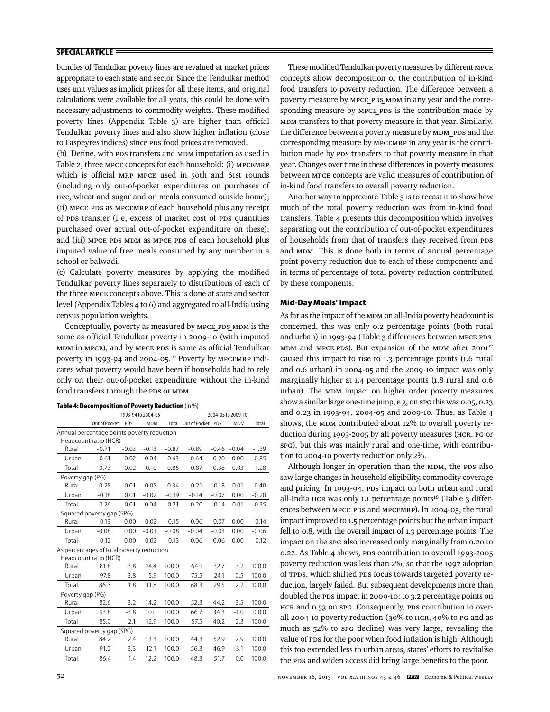bundles of Tendulkar poverty lines are revalued at market prices appropriate to each state and sector. Since the Tendulkar method uses unit values as implicit prices for all these items, and original calculations were available for all years, this could be done with necessary adjustments to commodity weights. These modified poverty lines (Appendix Table 3) are higher than official Tendulkar poverty lines and also show higher inflation (close to Laspeyres indices) since PDS food prices are removed.

(b) Define, with PDS transfers and MDM imputation as used in Table 2, three MPCE concepts for each household: (i) MPCEMRP which is official MRP MPCE used in 50th and 61st rounds (including only out-of-pocket expenditures on purchases of rice, wheat and sugar and on meals consumed outside home); (ii) MPCE\_PDS as MPCEMRP of each household plus any receipt of PDS transfer (i e, excess of market cost of PDS quantities purchased over actual out-of-pocket expenditure on these); and (iii) MPCE PDS MDM as MPCE PDS of each household plus imputed value of free meals consumed by any member in a school or balwadi.

(c) Calculate poverty measures by applying the modified Tendulkar poverty lines separately to distributions of each of the three MPCE concepts above. This is done at state and sector level (Appendix Tables 4 to 6) and aggregated to all-India using census population weights.

Conceptually, poverty as measured by MPCE PDS MDM is the same as official Tendulkar poverty in 2009-10 (with imputed MDM in MPCE), and by MPCE PDS is same as official Tendulkar poverty in 1993-94 and 2004-05.16 Poverty by MPCEMRP indicates what poverty would have been if households had to rely only on their out-of-pocket expenditure without the in-kind food transfers through the PDS or MDM.

| Table 4: Decomposition of Poverty Reduction (in %) |  |  |  |
|----------------------------------------------------|--|--|--|
|----------------------------------------------------|--|--|--|

|                                            |                           |         | 1993-94 to 2004-05 |         |                   |         | 2004-05 to 2009-10 |         |
|--------------------------------------------|---------------------------|---------|--------------------|---------|-------------------|---------|--------------------|---------|
|                                            | Out of Pocket             | PDS     | <b>MDM</b>         | Total   | Out of Pocket PDS |         | <b>MDM</b>         | Total   |
| Annual percentage points poverty reduction |                           |         |                    |         |                   |         |                    |         |
|                                            | Headcount ratio (HCR)     |         |                    |         |                   |         |                    |         |
| Rural                                      | $-0.71$                   | $-0.03$ | $-0.13$            | $-0.87$ | $-0.89$           | $-0.46$ | $-0.04$            | $-1.39$ |
| Urban                                      | $-0.61$                   | 0.02    | $-0.04$            | $-0.63$ | $-0.64$           | $-0.20$ | $-0.00$            | $-0.85$ |
| Total                                      | $-0.73$                   | $-0.02$ | $-0.10$            | $-0.85$ | $-0.87$           | $-0.38$ | $-0.03$            | $-1.28$ |
| Poverty gap (PG)                           |                           |         |                    |         |                   |         |                    |         |
| Rural                                      | $-0.28$                   | $-0.01$ | $-0.05$            | $-0.34$ | $-0.21$           | $-0.18$ | $-0.01$            | $-0.40$ |
| Urban                                      | $-0.18$                   | 0.01    | $-0.02$            | $-0.19$ | $-0.14$           | $-0.07$ | 0.00               | $-0.20$ |
| Total                                      | $-0.26$                   | $-0.01$ | $-0.04$            | $-0.31$ | $-0.20$           | $-0.14$ | $-0.01$            | $-0.35$ |
|                                            | Squared poverty gap (SPG) |         |                    |         |                   |         |                    |         |
| Rural                                      | $-0.13$                   | $-0.00$ | $-0.02$            | $-0.15$ | $-0.06$           | $-0.07$ | $-0.00$            | $-0.14$ |
| Urban                                      | $-0.08$                   | 0.00    | $-0.01$            | $-0.08$ | $-0.04$           | $-0.03$ | 0.00               | $-0.06$ |
| Total                                      | $-0.12$                   | $-0.00$ | $-0.02$            | $-0.13$ | $-0.06$           | $-0.06$ | 0.00               | $-0.12$ |
| As percentages of total poverty reduction  |                           |         |                    |         |                   |         |                    |         |
|                                            | Headcount ratio (HCR)     |         |                    |         |                   |         |                    |         |
| Rural                                      | 81.8                      | 3.8     | 14.4               | 100.0   | 64.1              | 32.7    | 3.2                | 100.0   |
| Urban                                      | 97.8                      | $-3.8$  | 5.9                | 100.0   | 75.5              | 24.1    | 0.5                | 100.0   |
| Total                                      | 86.3                      | 1.8     | 11.8               | 100.0   | 68.3              | 29.5    | 2.2                | 100.0   |
| Poverty gap (PG)                           |                           |         |                    |         |                   |         |                    |         |
| Rural                                      | 82.6                      | 3.2     | 14.2               | 100.0   | 52.3              | 44.2    | 3.5                | 100.0   |
| Urban                                      | 93.8                      | $-3.8$  | 10.0               | 100.0   | 66.7              | 34.3    | $-1.0$             | 100.0   |
| Total                                      | 85.0                      | 2.1     | 12.9               | 100.0   | 57.5              | 40.2    | 2.3                | 100.0   |
|                                            | Squared poverty gap (SPG) |         |                    |         |                   |         |                    |         |
| Rural                                      | 84.2                      | 2.4     | 13.3               | 100.0   | 44.3              | 52.9    | 2.9                | 100.0   |
| Urban                                      | 91.2                      | $-3.3$  | 12.1               | 100.0   | 56.3              | 46.9    | $-3.1$             | 100.0   |
| Total                                      | 86.4                      | 1.4     | 12.2               | 100.0   | 48.3              | 51.7    | 0.0                | 100.0   |
|                                            |                           |         |                    |         |                   |         |                    |         |

These modified Tendulkar poverty measures by different MPCE concepts allow decomposition of the contribution of in-kind food transfers to poverty reduction. The difference between a poverty measure by MPCE PDS MDM in any year and the corresponding measure by MPCE PDS is the contribution made by MDM transfers to that poverty measure in that year. Similarly, the difference between a poverty measure by MDM\_PDS and the corresponding measure by MPCEMRP in any year is the contribution made by PDS transfers to that poverty measure in that year. Changes over time in these differences in poverty measures between MPCE concepts are valid measures of contribution of in-kind food transfers to overall poverty reduction.

Another way to appreciate Table 3 is to recast it to show how much of the total poverty reduction was from in-kind food transfers. Table 4 presents this decomposition which involves separating out the contribution of out-of-pocket expenditures of households from that of transfers they received from PDS and MDM. This is done both in terms of annual percentage point poverty reduction due to each of these components and in terms of percentage of total poverty reduction contributed by these components.

#### **Mid-Day Meals' Impact**

As far as the impact of the MDM on all-India poverty headcount is concerned, this was only 0.2 percentage points (both rural and urban) in 1993-94 (Table 3 differences between MPCE PDS MDM and MPCE PDS). But expansion of the MDM after 2001<sup>17</sup> caused this impact to rise to 1.3 percentage points (1.6 rural and 0.6 urban) in 2004-05 and the 2009-10 impact was only marginally higher at 1.4 percentage points (1.8 rural and 0.6 urban). The MDM impact on higher order poverty measures show a similar large one-time jump, e g, on SPG this was 0.05, 0.23 and 0.23 in 1993-94, 2004-05 and 2009-10. Thus, as Table 4 shows, the MDM contributed about 12% to overall poverty reduction during 1993-2005 by all poverty measures (HCR, PG or SPG), but this was mainly rural and one-time, with contribution to 2004-10 poverty reduction only 2%.

Although longer in operation than the MDM, the PDS also saw large changes in household eligibility, commodity coverage and pricing. In 1993-94, PDS impact on both urban and rural all-India HCR was only 1.1 percentage points $18$  (Table 3 differences between MPCE\_PDS and MPCEMRP). In 2004-05, the rural impact improved to 1.5 percentage points but the urban impact fell to 0.8, with the overall impact of 1.3 percentage points. The impact on the SPG also increased only marginally from 0.20 to 0.22. As Table 4 shows, PDS contribution to overall 1993-2005 poverty reduction was less than 2%, so that the 1997 adoption of TPDS, which shifted PDS focus towards targeted poverty reduction, largely failed. But subsequent developments more than doubled the PDS impact in 2009-10: to 3.2 percentage points on HCR and 0.53 on SPG. Consequently, PDS contribution to overall 2004-10 poverty reduction (30% to HCR, 40% to PG and as much as 52% to SPG decline) was very large, revealing the value of PDS for the poor when food inflation is high. Although this too extended less to urban areas, states' efforts to revitalise the PDS and widen access did bring large benefits to the poor.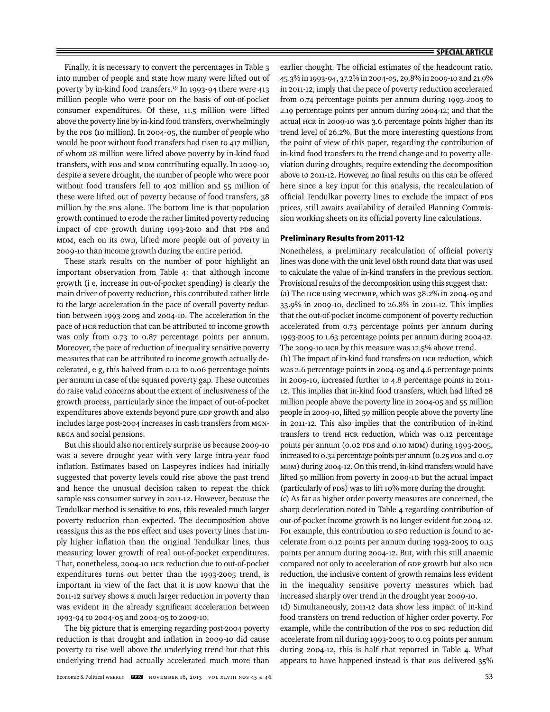Finally, it is necessary to convert the percentages in Table 3 into number of people and state how many were lifted out of poverty by in-kind food transfers.19 In 1993-94 there were 413 million people who were poor on the basis of out-of-pocket consumer expenditures. Of these, 11.5 million were lifted above the poverty line by in-kind food transfers, overwhelmingly by the PDS (10 million). In 2004-05, the number of people who would be poor without food transfers had risen to 417 million, of whom 28 million were lifted above poverty by in-kind food transfers, with PDS and MDM contributing equally. In 2009-10, despite a severe drought, the number of people who were poor without food transfers fell to 402 million and 55 million of these were lifted out of poverty because of food transfers, 38 million by the PDS alone. The bottom line is that population growth continued to erode the rather limited poverty reducing impact of GDP growth during 1993-2010 and that PDS and MDM, each on its own, lifted more people out of poverty in 2009-10 than income growth during the entire period.

These stark results on the number of poor highlight an important observation from Table 4: that although income growth (i e, increase in out-of-pocket spending) is clearly the main driver of poverty reduction, this contributed rather little to the large acceleration in the pace of overall poverty reduction between 1993-2005 and 2004-10. The acceleration in the pace of HCR reduction that can be attributed to income growth was only from 0.73 to 0.87 percentage points per annum. Moreover, the pace of reduction of inequality sensitive poverty measures that can be attributed to income growth actually decelerated, e g, this halved from 0.12 to 0.06 percentage points per annum in case of the squared poverty gap. These outcomes do raise valid concerns about the extent of inclusiveness of the growth process, particularly since the impact of out-of-pocket expenditures above extends beyond pure GDP growth and also includes large post-2004 increases in cash transfers from MGN-REGA and social pensions.

But this should also not entirely surprise us because 2009-10 was a severe drought year with very large intra-year food inflation. Estimates based on Laspeyres indices had initially suggested that poverty levels could rise above the past trend and hence the unusual decision taken to repeat the thick sample NSS consumer survey in 2011-12. However, because the Tendulkar method is sensitive to PDS, this revealed much larger poverty reduction than expected. The decomposition above reassigns this as the PDS effect and uses poverty lines that imply higher inflation than the original Tendulkar lines, thus measuring lower growth of real out-of-pocket expenditures. That, nonetheless, 2004-10 HCR reduction due to out-of-pocket expenditures turns out better than the 1993-2005 trend, is important in view of the fact that it is now known that the 2011-12 survey shows a much larger reduction in poverty than was evident in the already significant acceleration between 1993-94 to 2004-05 and 2004-05 to 2009-10.

The big picture that is emerging regarding post-2004 poverty reduction is that drought and inflation in 2009-10 did cause poverty to rise well above the underlying trend but that this underlying trend had actually accelerated much more than

earlier thought. The official estimates of the headcount ratio, 45.3% in 1993-94, 37.2% in 2004-05, 29.8% in 2009-10 and 21.9% in 2011-12, imply that the pace of poverty reduction accelerated from 0.74 percentage points per annum during 1993-2005 to 2.19 percentage points per annum during 2004-12; and that the actual HCR in 2009-10 was 3.6 percentage points higher than its trend level of 26.2%. But the more interesting questions from the point of view of this paper, regarding the contribution of in-kind food transfers to the trend change and to poverty alleviation during droughts, require extending the decomposition above to 2011-12. However, no final results on this can be offered here since a key input for this analysis, the recalculation of official Tendulkar poverty lines to exclude the impact of PDS prices, still awaits availability of detailed Planning Commission working sheets on its official poverty line calculations.

#### **Preliminary Results from 2011-12**

Nonetheless, a preliminary recalculation of official poverty lines was done with the unit level 68th round data that was used to calculate the value of in-kind transfers in the previous section. Provisional results of the decomposition using this suggest that: (a) The HCR using MPCEMRP, which was 38.2% in 2004-05 and 33.9% in 2009-10, declined to 26.8% in 2011-12. This implies that the out-of-pocket income component of poverty reduction accelerated from 0.73 percentage points per annum during 1993-2005 to 1.63 percentage points per annum during 2004-12. The 2009-10 HCR by this measure was 12.5% above trend.

(b) The impact of in-kind food transfers on HCR reduction, which was 2.6 percentage points in 2004-05 and 4.6 percentage points in 2009-10, increased further to 4.8 percentage points in 2011- 12. This implies that in-kind food transfers, which had lifted 28 million people above the poverty line in 2004-05 and 55 million people in 2009-10, lifted 59 million people above the poverty line in 2011-12. This also implies that the contribution of in-kind transfers to trend HCR reduction, which was 0.12 percentage points per annum (0.02 PDS and 0.10 MDM) during 1993-2005, increased to 0.32 percentage points per annum (0.25 PDS and 0.07 MDM) during 2004-12. On this trend, in-kind transfers would have lifted 50 million from poverty in 2009-10 but the actual impact (particularly of PDS) was to lift 10% more during the drought.

(c) As far as higher order poverty measures are concerned, the sharp deceleration noted in Table 4 regarding contribution of out-of-pocket income growth is no longer evident for 2004-12. For example, this contribution to SPG reduction is found to accelerate from 0.12 points per annum during 1993-2005 to 0.15 points per annum during 2004-12. But, with this still anaemic compared not only to acceleration of GDP growth but also HCR reduction, the inclusive content of growth remains less evident in the inequality sensitive poverty measures which had increased sharply over trend in the drought year 2009-10.

(d) Simultaneously, 2011-12 data show less impact of in-kind food transfers on trend reduction of higher order poverty. For example, while the contribution of the PDS to SPG reduction did accelerate from nil during 1993-2005 to 0.03 points per annum during 2004-12, this is half that reported in Table 4. What appears to have happened instead is that PDS delivered 35%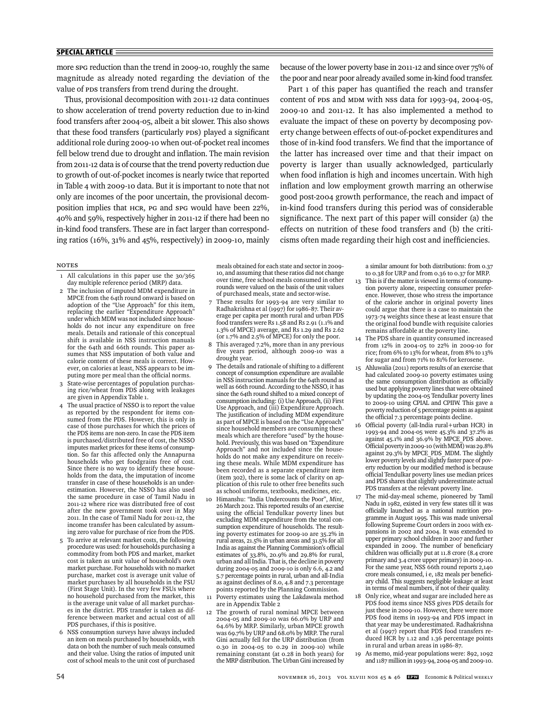more SPG reduction than the trend in 2009-10, roughly the same magnitude as already noted regarding the deviation of the value of PDS transfers from trend during the drought.

Thus, provisional decomposition with 2011-12 data continues to show acceleration of trend poverty reduction due to in-kind food transfers after 2004-05, albeit a bit slower. This also shows that these food transfers (particularly PDS) played a significant additional role during 2009-10 when out-of-pocket real incomes fell below trend due to drought and inflation. The main revision from 2011-12 data is of course that the trend poverty reduction due to growth of out-of-pocket incomes is nearly twice that reported in Table 4 with 2009-10 data. But it is important to note that not only are incomes of the poor uncertain, the provisional decomposition implies that HCR, PG and SPG would have been 22%, 40% and 59%, respectively higher in 2011-12 if there had been no in-kind food transfers. These are in fact larger than corresponding ratios (16%, 31% and 45%, respectively) in 2009-10, mainly because of the lower poverty base in 2011-12 and since over 75% of the poor and near poor already availed some in-kind food transfer.

Part 1 of this paper has quantified the reach and transfer content of PDS and MDM with NSS data for 1993-94, 2004-05, 2009-10 and 2011-12. It has also implemented a method to evaluate the impact of these on poverty by decomposing poverty change between effects of out-of-pocket expenditures and those of in-kind food transfers. We find that the importance of the latter has increased over time and that their impact on poverty is larger than usually acknowledged, particularly when food inflation is high and incomes uncertain. With high inflation and low employment growth marring an otherwise good post-2004 growth performance, the reach and impact of in-kind food transfers during this period was of considerable significance. The next part of this paper will consider (a) the effects on nutrition of these food transfers and (b) the criticisms often made regarding their high cost and inefficiencies.

# Notes

- 1 All calculations in this paper use the 30/365 day multiple reference period (MRP) data.
- The inclusion of imputed MDM expenditure in MPCE from the 64th round onward is based on adoption of the "Use Approach" for this item, replacing the earlier "Expenditure Approach" under which MDM was not included since households do not incur any expenditure on free meals. Details and rationale of this conceptual shift is available in NSS instruction manuals for the 64th and 66th rounds. This paper assumes that NSS imputation of both value and calorie content of these meals is correct. However, on calories at least, NSS appears to be imputing more per meal than the official norms.
- State-wise percentages of population purchasing rice/wheat from PDS along with leakages are given in Appendix Table 1.
- The usual practice of NSSO is to report the value as reported by the respondent for items consumed from the PDS. However, this is only in case of those purchases for which the prices of the PDS items are non-zero. In case the PDS item is purchased/distributed free of cost, the NSSO imputes market prices for these items of consumption. So far this affected only the Annapurna households who get foodgrains free of cost. Since there is no way to identify these households from the data, the imputation of income transfer in case of these households is an underestimation. However, the NSSO has also used the same procedure in case of Tamil Nadu in 2011-12 where rice was distributed free of cost after the new government took over in May 2011. In the case of Tamil Nadu for 2011-12, the income transfer has been calculated by assuming zero value for purchase of rice from the PDS.
- 5 To arrive at relevant market costs, the following procedure was used: for households purchasing a commodity from both PDS and market, market cost is taken as unit value of household's own market purchase. For households with no market purchase, market cost is average unit value of market purchases by all households in the FSU (First Stage Unit). In the very few FSUs where no household purchased from the market, this is the average unit value of all market purchases in the district. PDS transfer is taken as difference between market and actual cost of all PDS purchases, if this is positive.
- NSS consumption surveys have always included an item on meals purchased by households, with data on both the number of such meals consumed and their value. Using the ratios of imputed unit cost of school meals to the unit cost of purchased

meals obtained for each state and sector in 2009- 10, and assuming that these ratios did not change over time, free school meals consumed in other rounds were valued on the basis of the unit values of purchased meals, state and sector-wise.

- 7 These results for 1993-94 are very similar to Radhakrishna et al (1997) for 1986-87. Their average per capita per month rural and urban PDS food transfers were Rs 1.58 and Rs 2.91 (1.1% and 1.3% of MPCE) average, and Rs 1.29 and Rs 2.62 (or 1.7% and 2.5% of MPCE) for only the poor.
- This averaged 7.2%, more than in any previous five years period, although 2009-10 was a drought year.
- The details and rationale of shifting to a different concept of consumption expenditure are available in NSS instruction manuals for the 64th round as well as 66th round. According to the NSSO, it has since the 64th round shifted to a mixed concept of consumption including: (i) Use Approach, (ii) First Use Approach, and (iii) Expenditure Approach. The justification of including MDM expenditure as part of MPCE is based on the "Use Approach" since household members are consuming these meals which are therefore "used" by the household. Previously, this was based on "Expenditure Approach" and not included since the households do not make any expenditure on receiving these meals. While MDM expenditure has been recorded as a separate expenditure item (item 302), there is some lack of clarity on application of this rule to other free benefits such as school uniforms, textbooks, medicines, etc.
- 10 Himanshu: "India Undercounts the Poor", *Mint*, 26March 2012. This reported results of an exercise using the official Tendulkar poverty lines but excluding MDM expenditure from the total consumption expenditure of households. The resulting poverty estimates for 2009-10 are 35.2% in rural areas, 21.5% in urban areas and 31.5% for all India as against the Planning Commission's official estimates of 33.8%, 20.9% and 29.8% for rural, urban and all India. That is, the decline in poverty during 2004-05 and 2009-10 is only 6.6, 4.2 and 5.7 percentage points in rural, urban and all-India as against declines of 8.0, 4.8 and 7.3 percentage points reported by the Planning Commission.
- 11 Poverty estimates using the Lakdawala method are in Appendix Table 2
- 12 The growth of rural nominal MPCE between 2004-05 and 2009-10 was 66.0% by URP and 64.6% by MRP. Similarly, urban MPCE growth was 69.7% by URP and 68.0% by MRP. The rural Gini actually fell for the URP distribution (from 0.30 in 2004-05 to 0.29 in 2009-10) while remaining constant (at 0.28 in both years) for the MRP distribution. The Urban Gini increased by

a similar amount for both distributions: from 0.37 to 0.38 for URP and from 0.36 to 0.37 for MRP.

- 13 This is if the matter is viewed in terms of consumption poverty alone, respecting consumer preference. However, those who stress the importance of the calorie anchor in original poverty lines could argue that there is a case to maintain the 1973-74 weights since these at least ensure that the original food bundle with requisite calories remains affordable at the poverty line.
- 14 The PDS share in quantity consumed increased from 12% in 2004-05 to 22% in 2009-10 for rice; from 6% to 13% for wheat, from 8% to 13% for sugar and from 71% to 81% for kerosene.
- 15 Ahluwalia (2011) reports results of an exercise that had calculated 2009-10 poverty estimates using the same consumption distribution as officially used but applying poverty lines that were obtained by updating the 2004-05 Tendulkar poverty lines to 2009-10 using CPIAL and CPIIW. This gave a poverty reduction of 5 percentage points as against the official 7.3 percentage points decline.
- 16 Official poverty (all-India rural+urban HCR) in 1993-94 and 2004-05 were 45.3% and 37.2% as against 45.1% and 36.9% by MPCE\_PDS above. Official poverty in 2009-10 (with MDM) was 29.8% against 29.3% by MPCE\_PDS\_MDM. The slightly lower poverty levels and slightly faster pace of poverty reduction by our modified method is because official Tendulkar poverty lines use median prices and PDS shares that slightly underestimate actual PDS transfers at the relevant poverty line.
- 17 The mid-day-meal scheme, pioneered by Tamil Nadu in 1982, existed in very few states till it was officially launched as a national nutrition programme in August 1995. This was made universal following Supreme Court orders in 2001 with expansions in 2002 and 2004. It was extended to upper primary school children in 2007 and further expanded in 2009. The number of beneficiary children was officially put at 11.8 crore (8.4 crore primary and 3.4 crore upper primary) in 2009-10. For the same year, NSS 66th round reports 2,140 crore meals consumed, i e, 182 meals per beneficiary child. This suggests negligible leakage at least in terms of meal numbers, if not of their quality.
- 18 Only rice, wheat and sugar are included here as PDS food items since NSS gives PDS details for just these in 2009-10. However, there were more PDS food items in 1993-94 and PDS impact in that year may be underestimated. Radhakrishna et al (1997) report that PDS food transfers reduced HCR by 1.12 and 1.36 percentage points in rural and urban areas in 1986-87.
- 19 As memo, mid-year populations were: 892, 1092 and 1187 million in 1993-94, 2004-05 and 2009-10.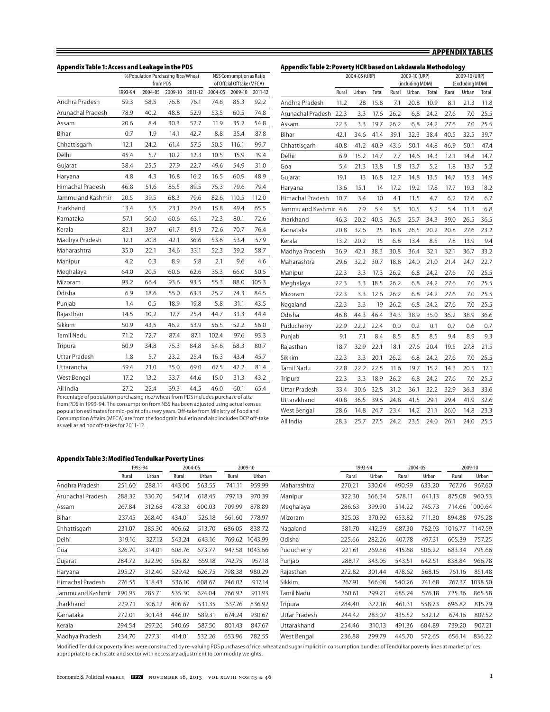| Appendix Table 1: Access and Leakage in the PDS |         |                                                |         |         |         |                                                              |         |
|-------------------------------------------------|---------|------------------------------------------------|---------|---------|---------|--------------------------------------------------------------|---------|
|                                                 |         | % Population Purchasing Rice/Wheat<br>from PDS |         |         |         | <b>NSS Consumption as Ratio</b><br>of Offcial Offtake (MFCA) |         |
|                                                 | 1993-94 | 2004-05                                        | 2009-10 | 2011-12 | 2004-05 | 2009-10                                                      | 2011-12 |
| Andhra Pradesh                                  | 59.3    | 58.5                                           | 76.8    | 76.1    | 74.6    | 85.3                                                         | 92.2    |
| Arunachal Pradesh                               | 78.9    | 40.2                                           | 48.8    | 52.9    | 53.5    | 60.5                                                         | 74.8    |
| Assam                                           | 20.6    | 8.4                                            | 30.3    | 52.7    | 11.9    | 35.2                                                         | 54.8    |
| Bihar                                           | 0.7     | 1.9                                            | 14.1    | 42.7    | 8.8     | 35.4                                                         | 87.8    |
| Chhattisgarh                                    | 12.1    | 24.2                                           | 61.4    | 57.5    | 50.5    | 116.1                                                        | 99.7    |
| Delhi                                           | 45.4    | 5.7                                            | 10.2    | 12.3    | 10.5    | 15.9                                                         | 19.4    |
| Gujarat                                         | 38.4    | 25.5                                           | 27.9    | 22.7    | 49.6    | 54.9                                                         | 31.0    |
| Haryana                                         | 4.8     | 4.3                                            | 16.8    | 16.2    | 16.5    | 60.9                                                         | 48.9    |
| Himachal Pradesh                                | 46.8    | 51.6                                           | 85.5    | 89.5    | 75.3    | 79.6                                                         | 79.4    |
| Jammu and Kashmir                               | 20.5    | 39.5                                           | 68.3    | 79.6    | 82.6    | 110.5                                                        | 112.0   |
| Jharkhand                                       | 13.4    | 5.5                                            | 23.1    | 29.6    | 15.8    | 49.4                                                         | 65.5    |
| Karnataka                                       | 57.1    | 50.0                                           | 60.6    | 63.1    | 72.3    | 80.1                                                         | 72.6    |
| Kerala                                          | 82.1    | 39.7                                           | 61.7    | 81.9    | 72.6    | 70.7                                                         | 76.4    |
| Madhya Pradesh                                  | 12.1    | 20.8                                           | 42.1    | 36.6    | 53.6    | 53.4                                                         | 57.9    |
| Maharashtra                                     | 35.0    | 22.1                                           | 34.6    | 33.1    | 52.3    | 59.2                                                         | 58.7    |
| Manipur                                         | 4.2     | 0.3                                            | 8.9     | 5.8     | 2.1     | 9.6                                                          | 4.6     |
| Meghalaya                                       | 64.0    | 20.5                                           | 60.6    | 62.6    | 35.3    | 66.0                                                         | 50.5    |
| Mizoram                                         | 93.2    | 66.4                                           | 93.6    | 93.5    | 55.3    | 88.0                                                         | 105.3   |
| Odisha                                          | 6.9     | 18.6                                           | 55.0    | 63.3    | 25.2    | 74.3                                                         | 84.5    |
| Punjab                                          | 1.4     | 0.5                                            | 18.9    | 19.8    | 5.8     | 31.1                                                         | 43.5    |
| Rajasthan                                       | 14.5    | 10.2                                           | 17.7    | 25.4    | 44.7    | 33.3                                                         | 44.4    |
| Sikkim                                          | 50.9    | 43.5                                           | 46.2    | 53.9    | 56.5    | 52.2                                                         | 56.0    |
| <b>Tamil Nadu</b>                               | 71.2    | 72.7                                           | 87.4    | 87.1    | 102.4   | 97.6                                                         | 93.3    |
| Tripura                                         | 60.9    | 34.8                                           | 75.3    | 84.8    | 54.6    | 68.3                                                         | 80.7    |
| Uttar Pradesh                                   | 1.8     | 5.7                                            | 23.2    | 25.4    | 16.3    | 43.4                                                         | 45.7    |
| Uttaranchal                                     | 59.4    | 21.0                                           | 35.0    | 69.0    | 67.5    | 42.2                                                         | 81.4    |
| West Bengal                                     | 17.2    | 13.2                                           | 33.7    | 44.6    | 15.0    | 31.3                                                         | 43.2    |
| All India                                       | 27.2    | 22.4                                           | 39.3    | 44.5    | 46.0    | 60.1                                                         | 65.4    |

Percentage of population purchasing rice/wheat from PDS includes purchase of atta from PDS in 1993-94. The consumption from NSS has been adjusted using actual census population estimates for mid-point of survey years. Off-take from Ministry of Food and Consumption Affairs (MFCA) are from the foodgrain bulletin and also includes DCP off-take as well as ad hoc off-takes for 2011-12.

| Appendix Table 2: Poverty HCR based on Lakdawala Methodology |       |               |       |       |                 |       |       |                 |       |
|--------------------------------------------------------------|-------|---------------|-------|-------|-----------------|-------|-------|-----------------|-------|
|                                                              |       | 2004-05 (URP) |       |       | 2009-10 (URP)   |       |       | 2009-10 (URP)   |       |
|                                                              |       |               |       |       | (including MDM) |       |       | (Excluding MDM) |       |
|                                                              | Rural | Urban         | Total | Rural | Urban           | Total | Rural | Urban           | Total |
| Andhra Pradesh                                               | 11.2  | 28            | 15.8  | 7.1   | 20.8            | 10.9  | 8.1   | 21.3            | 11.8  |
| Arunachal Pradesh                                            | 22.3  | 3.3           | 17.6  | 26.2  | 6.8             | 24.2  | 27.6  | 7.0             | 25.5  |
| Assam                                                        | 22.3  | 3.3           | 19.7  | 26.2  | 6.8             | 24.2  | 27.6  | 7.0             | 25.5  |
| Bihar                                                        | 42.1  | 34.6          | 41.4  | 39.1  | 32.3            | 38.4  | 40.5  | 32.5            | 39.7  |
| Chhattisgarh                                                 | 40.8  | 41.2          | 40.9  | 43.6  | 50.1            | 44.8  | 46.9  | 50.1            | 47.4  |
| Delhi                                                        | 6.9   | 15.2          | 14.7  | 7.7   | 14.6            | 14.3  | 12.1  | 14.8            | 14.7  |
| Goa                                                          | 5.4   | 21.3          | 13.8  | 1.8   | 13.7            | 5.2   | 1.8   | 13.7            | 5.2   |
| Gujarat                                                      | 19.1  | 13            | 16.8  | 12.7  | 14.8            | 13.5  | 14.7  | 15.3            | 14.9  |
| Haryana                                                      | 13.6  | 15.1          | 14    | 17.2  | 19.2            | 17.8  | 17.7  | 19.3            | 18.2  |
| Himachal Pradesh                                             | 10.7  | 3.4           | 10    | 4.1   | 11.5            | 4.7   | 6.2   | 12.6            | 6.7   |
| Jammu and Kashmir 4.6                                        |       | 7.9           | 5.4   | 3.5   | 10.5            | 5.2   | 5.4   | 11.3            | 6.8   |
| Jharkhand                                                    | 46.3  | 20.2          | 40.3  | 36.5  | 25.7            | 34.3  | 39.0  | 26.5            | 36.5  |
| Karnataka                                                    | 20.8  | 32.6          | 25    | 16.8  | 26.5            | 20.2  | 20.8  | 27.6            | 23.2  |
| Kerala                                                       | 13.2  | 20.2          | 15    | 6.8   | 13.4            | 8.5   | 7.8   | 13.9            | 9.4   |
| Madhya Pradesh                                               | 36.9  | 42.1          | 38.3  | 30.8  | 36.4            | 32.1  | 32.1  | 36.7            | 33.2  |
| Maharashtra                                                  | 29.6  | 32.2          | 30.7  | 18.8  | 24.0            | 21.0  | 21.4  | 24.7            | 22.7  |
| Manipur                                                      | 22.3  | 3.3           | 17.3  | 26.2  | 6.8             | 24.2  | 27.6  | 7.0             | 25.5  |
| Meghalaya                                                    | 22.3  | 3.3           | 18.5  | 26.2  | 6.8             | 24.2  | 27.6  | 7.0             | 25.5  |
| Mizoram                                                      | 22.3  | 3.3           | 12.6  | 26.2  | 6.8             | 24.2  | 27.6  | 7.0             | 25.5  |
| Nagaland                                                     | 22.3  | 3.3           | 19    | 26.2  | 6.8             | 24.2  | 27.6  | 7.0             | 25.5  |
| Odisha                                                       | 46.8  | 44.3          | 46.4  | 34.3  | 38.9            | 35.0  | 36.2  | 38.9            | 36.6  |
| Puducherry                                                   | 22.9  | 22.2          | 22.4  | 0.0   | 0.2             | 0.1   | 0.7   | 0.6             | 0.7   |
| Punjab                                                       | 9.1   | 7.1           | 8.4   | 8.5   | 8.5             | 8.5   | 9.4   | 8.9             | 9.3   |
| Rajasthan                                                    | 18.7  | 32.9          | 22.1  | 18.1  | 27.6            | 20.4  | 19.5  | 27.8            | 21.5  |
| Sikkim                                                       | 22.3  | 3.3           | 20.1  | 26.2  | 6.8             | 24.2  | 27.6  | 7.0             | 25.5  |
| <b>Tamil Nadu</b>                                            | 22.8  | 22.2          | 22.5  | 11.6  | 19.7            | 15.2  | 14.3  | 20.5            | 17.1  |
| Tripura                                                      | 22.3  | 3.3           | 18.9  | 26.2  | 6.8             | 24.2  | 27.6  | 7.0             | 25.5  |
| Uttar Pradesh                                                | 33.4  | 30.6          | 32.8  | 31.2  | 36.1            | 32.2  | 32.9  | 36.3            | 33.6  |
| Uttarakhand                                                  | 40.8  | 36.5          | 39.6  | 24.8  | 41.5            | 29.1  | 29.4  | 41.9            | 32.6  |
| West Bengal                                                  | 28.6  | 14.8          | 24.7  | 23.4  | 14.2            | 21.1  | 26.0  | 14.8            | 23.3  |
| All India                                                    | 28.3  | 25.7          | 27.5  | 24.2  | 23.5            | 24.0  | 26.1  | 24.0            | 25.5  |
|                                                              |       |               |       |       |                 |       |       |                 |       |

#### **Appendix Table 3: Modified Tendulkar Poverty Lines**

|                   | 1993-94 |        | 2004-05 |        |        | 2009-10 |               |        | 1993-94 |        | 2004-05 |         | 2009-10 |
|-------------------|---------|--------|---------|--------|--------|---------|---------------|--------|---------|--------|---------|---------|---------|
|                   | Rural   | Urban  | Rural   | Urban  | Rural  | Urban   |               | Rural  | Urban   | Rural  | Urban   | Rural   | Urban   |
| Andhra Pradesh    | 251.60  | 288.11 | 443.00  | 563.55 | 741.11 | 959.99  | Maharashtra   | 270.21 | 330.04  | 490.99 | 633.20  | 767.76  | 967.60  |
| Arunachal Pradesh | 288.32  | 330.70 | 547.14  | 618.45 | 797.13 | 970.39  | Manipur       | 322.30 | 366.34  | 578.11 | 641.13  | 875.08  | 960.53  |
| Assam             | 267.84  | 312.68 | 478.33  | 600.03 | 709.99 | 878.89  | Meghalaya     | 286.63 | 399.90  | 514.22 | 745.73  | 714.66  | 1000.64 |
| Bihar             | 237.45  | 268.40 | 434.01  | 526.18 | 661.60 | 778.97  | Mizoram       | 325.03 | 370.92  | 653.82 | 711.30  | 894.88  | 976.28  |
| Chhattisgarh      | 231.07  | 285.30 | 406.62  | 513.70 | 686.05 | 838.72  | Nagaland      | 381.70 | 412.39  | 687.30 | 782.93  | 1016.77 | 1147.59 |
| Delhi             | 319.16  | 327.12 | 543.24  | 643.16 | 769.62 | 1043.99 | Odisha        | 225.66 | 282.26  | 407.78 | 497.31  | 605.39  | 757.25  |
| Goa               | 326.70  | 314.01 | 608.76  | 673.77 | 947.58 | 1043.66 | Puducherry    | 221.61 | 269.86  | 415.68 | 506.22  | 683.34  | 795.66  |
| Gujarat           | 284.72  | 322.90 | 505.82  | 659.18 | 742.75 | 957.18  | Punjab        | 288.17 | 343.05  | 543.51 | 642.51  | 838.84  | 966.78  |
| Haryana           | 295.27  | 312.40 | 529.42  | 626.75 | 798.38 | 980.29  | Rajasthan     | 272.82 | 301.44  | 478.62 | 568.15  | 761.16  | 851.48  |
| Himachal Pradesh  | 276.55  | 318.43 | 536.10  | 608.67 | 746.02 | 917.14  | Sikkim        | 267.91 | 366.08  | 540.26 | 741.68  | 767.37  | 1038.50 |
| Jammu and Kashmir | 290.95  | 285.71 | 535.30  | 624.04 | 766.92 | 911.93  | Tamil Nadu    | 260.61 | 299.21  | 485.24 | 576.18  | 725.36  | 865.58  |
| Jharkhand         | 229.71  | 306.12 | 406.67  | 531.35 | 637.76 | 836.92  | Tripura       | 284.40 | 322.16  | 461.31 | 558.73  | 696.82  | 815.79  |
| Karnataka         | 272.01  | 301.43 | 446.07  | 589.31 | 674.24 | 930.67  | Uttar Pradesh | 244.42 | 283.07  | 435.52 | 532.12  | 674.16  | 807.52  |
| Kerala            | 294.54  | 297.26 | 540.69  | 587.50 | 801.43 | 847.67  | Uttarakhand   | 254.46 | 310.13  | 491.36 | 604.89  | 739.20  | 907.21  |
| Madhva Pradesh    | 234.70  | 277.31 | 414.01  | 532.26 | 653.96 | 782.55  | West Bengal   | 236.88 | 299.79  | 445.70 | 572.65  | 656.14  | 836.22  |

Modified Tendulkar poverty lines were constructed by re-valuing PDS purchases of rice, wheat and sugar implicit in consumption bundles of Tendulkar poverty lines at market prices appropriate to each state and sector with necessary adjustment to commodity weights.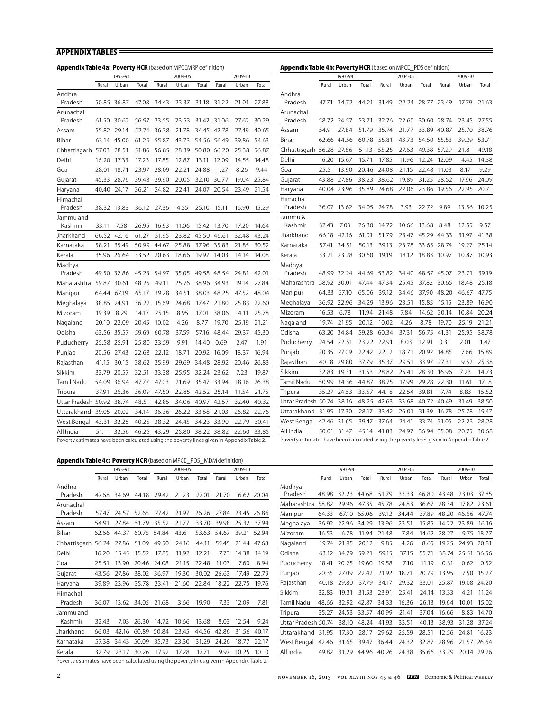| <b>Appendix Table 4a: Poverty HCR</b> (based on MPCEMRP definition)                       |             |             |       |             |         |             |             |         |             | <b>Appendix Table 4b: Poverty HCR</b> (based on MPCE_PDS definition)                      |       |                         |             |       |         |                   |             |         |       |
|-------------------------------------------------------------------------------------------|-------------|-------------|-------|-------------|---------|-------------|-------------|---------|-------------|-------------------------------------------------------------------------------------------|-------|-------------------------|-------------|-------|---------|-------------------|-------------|---------|-------|
|                                                                                           |             | 1993-94     |       |             | 2004-05 |             |             | 2009-10 |             |                                                                                           |       | 1993-94                 |             |       | 2004-05 |                   |             | 2009-10 |       |
|                                                                                           | Rural       | Urban       | Total | Rural       | Urban   | Total       | Rural       | Urban   | Total       |                                                                                           | Rural | Urban                   | Total       | Rural | Urban   | Total             | Rural       | Urban   | Total |
| Andhra                                                                                    |             |             |       |             |         |             |             |         |             | Andhra                                                                                    |       |                         |             |       |         |                   |             |         |       |
| Pradesh                                                                                   |             | 50.85 36.87 |       | 47.08 34.43 | 23.37   |             | 31.18 31.22 |         | 21.01 27.88 | Pradesh                                                                                   |       | 47.71 34.72 44.21 31.49 |             |       |         | 22.24 28.77 23.49 |             | 17.79   | 21.63 |
| Arunachal                                                                                 |             |             |       |             |         |             |             |         |             | Arunachal                                                                                 |       |                         |             |       |         |                   |             |         |       |
| Pradesh                                                                                   |             | 61.50 30.62 | 56.97 | 33.55       | 23.53   |             | 31.42 31.06 |         | 27.62 30.29 | Pradesh                                                                                   |       | 58.72 24.57             | 53.71       | 32.76 |         | 22.60 30.60       | 28.74       | 23.45   | 27.55 |
| Assam                                                                                     | 55.82       | 29.14       | 52.74 | 36.38       | 21.78   |             | 34.45 42.78 | 27.49   | 40.65       | Assam                                                                                     | 54.91 | 27.84                   | 51.79       | 35.74 | 21.77   |                   | 33.89 40.87 | 25.70   | 38.76 |
| Bihar                                                                                     |             | 63.14 45.00 | 61.25 | 55.87       | 43.73   | 54.56 56.49 |             | 39.86   | 54.63       | Bihar                                                                                     |       | 62.66 44.56             | 60.78       | 55.81 | 43.73   | 54.50 55.53       |             | 39.29   | 53.71 |
| Chhattisgarh 57.03                                                                        |             | 28.51       | 51.86 | 56.85       | 28.39   | 50.80 66.20 |             | 25.38   | 56.87       | Chhattisgarh 56.28                                                                        |       | 27.86                   | 51.13       | 55.25 | 27.63   | 49.38             | 57.29       | 21.81   | 49.18 |
| Delhi                                                                                     | 16.20       | 17.33       | 17.23 | 17.85       | 12.87   | 13.11       | 12.09       | 14.55   | 14.48       | Delhi                                                                                     | 16.20 | 15.67                   | 15.71       | 17.85 | 11.96   | 12.24             | 12.09       | 14.45   | 14.38 |
| Goa                                                                                       | 28.01       | 18.71       | 23.97 | 28.09       | 22.21   | 24.88       | 11.27       | 8.26    | 9.44        | Goa                                                                                       | 25.51 | 13.90                   | 20.46       | 24.08 | 21.15   | 22.48 11.03       |             | 8.17    | 9.29  |
| Gujarat                                                                                   |             | 45.33 28.76 | 39.48 | 39.90       | 20.05   |             | 32.10 30.77 | 19.04   | 25.84       | Gujarat                                                                                   | 43.88 | 27.86                   | 38.23       | 38.62 | 19.89   |                   | 31.25 28.52 | 17.96   | 24.09 |
| Haryana                                                                                   | 40.40       | 24.17       | 36.21 | 24.82       | 22.41   |             | 24.07 20.54 | 23.49   | 21.54       | Haryana                                                                                   |       | 40.04 23.96             | 35.89       | 24.68 |         | 22.06 23.86 19.56 |             | 22.95   | 20.71 |
| Himachal                                                                                  |             |             |       |             |         |             |             |         |             | Himachal                                                                                  |       |                         |             |       |         |                   |             |         |       |
| Pradesh                                                                                   |             | 38.32 13.83 | 36.12 | 27.36       | 4.55    | 25.10       | 15.11       | 16.90   | 15.29       | Pradesh                                                                                   | 36.07 | 13.62                   | 34.05       | 24.78 | 3.93    | 22.72             | 9.89        | 13.56   | 10.25 |
| Jammu and                                                                                 |             |             |       |             |         |             |             |         |             | Jammu &                                                                                   |       |                         |             |       |         |                   |             |         |       |
| Kashmir                                                                                   | 33.11       | 7.58        | 26.95 | 16.93       | 11.06   |             | 15.42 13.70 | 17.20   | 14.64       | Kashmir                                                                                   | 32.43 | 7.03                    | 26.30 14.72 |       | 10.66   | 13.68             | 8.48        | 12.55   | 9.57  |
| Jharkhand                                                                                 |             | 66.52 42.16 | 61.27 | 51.95       | 23.82   | 45.50 46.61 |             | 32.48   | 43.24       | Jharkhand                                                                                 | 66.18 | 42.16                   | 61.01       | 51.79 | 23.47   | 45.29             | 44.33       | 31.97   | 41.38 |
| Karnataka                                                                                 | 58.21       | 35.49       | 50.99 | 44.67       | 25.88   |             | 37.96 35.83 | 21.85   | 30.52       | Karnataka                                                                                 | 57.41 | 34.51                   | 50.13       | 39.13 | 23.78   | 33.65             | 28.74       | 19.27   | 25.14 |
| Kerala                                                                                    |             | 35.96 26.64 |       | 33.52 20.63 | 18.66   | 19.97       | 14.03       | 14.14   | 14.08       | Kerala                                                                                    |       | 33.21 23.28             | 30.60       | 19.19 | 18.12   | 18.83 10.97       |             | 10.87   | 10.93 |
| Madhya                                                                                    |             |             |       |             |         |             |             |         |             | Madhya                                                                                    |       |                         |             |       |         |                   |             |         |       |
| Pradesh                                                                                   |             | 49.50 32.86 | 45.23 | 54.97       | 35.05   | 49.58 48.54 |             | 24.81   | 42.01       | Pradesh                                                                                   | 48.99 | 32.24                   | 44.69       | 53.82 | 34.40   | 48.57 45.07       |             | 23.71   | 39.19 |
| Maharashtra                                                                               | 59.87       | 30.61       | 48.25 | 49.11       | 25.76   |             | 38.96 34.93 | 19.14   | 27.84       | Maharashtra 58.92 30.01                                                                   |       |                         | 47.44       | 47.34 | 25.45   |                   | 37.82 30.65 | 18.48   | 25.18 |
| Manipur                                                                                   | 64.44 67.19 |             | 65.17 | 39.28       | 34.51   |             | 38.03 48.25 | 47.52   | 48.04       | Manipur                                                                                   | 64.33 | 67.10                   | 65.06       | 39.12 | 34.46   |                   | 37.90 48.20 | 46.67   | 47.75 |
| Meghalaya                                                                                 | 38.85 24.91 |             | 36.22 | 15.69       | 24.68   | 17.47       | 21.80       | 25.83   | 22.60       | Meghalaya                                                                                 |       | 36.92 22.96             | 34.29       | 13.96 | 23.51   | 15.85             | 15.15       | 23.89   | 16.90 |
| Mizoram                                                                                   | 19.39       | 8.29        | 14.17 | 25.15       | 8.95    | 17.01       | 38.06       | 14.11   | 25.78       | Mizoram                                                                                   | 16.53 | 6.78                    | 11.94       | 21.48 | 7.84    |                   | 14.62 30.14 | 10.84   | 20.24 |
| Nagaland                                                                                  |             | 20.10 22.09 | 20.45 | 10.02       | 4.26    | 8.77        | 19.70       | 25.19   | 21.21       | Nagaland                                                                                  | 19.74 | 21.95                   | 20.12       | 10.02 | 4.26    | 8.78              | 19.70       | 25.19   | 21.21 |
| Odisha                                                                                    |             | 63.56 35.57 | 59.69 | 60.78       | 37.59   | 57.16       | 48.44       | 29.37   | 45.30       | Odisha                                                                                    |       | 63.20 34.84             | 59.28       | 60.34 | 37.31   | 56.75             | 41.31       | 25.95   | 38.78 |
| Puducherry                                                                                | 25.58 25.91 |             | 25.80 | 23.59       | 9.91    | 14.40       | 0.69        | 2.47    | 1.91        | Puducherry                                                                                | 24.54 | 22.51                   | 23.22 22.91 |       | 8.03    | 12.91             | 0.31        | 2.01    | 1.47  |
| Punjab                                                                                    | 20.56 27.43 |             | 22.68 | 22.12       | 18.71   |             | 20.92 16.09 | 18.37   | 16.94       | Punjab                                                                                    | 20.35 | 27.09                   | 22.42       | 22.12 | 18.71   | 20.92             | 14.85       | 17.66   | 15.89 |
| Rajasthan                                                                                 | 41.15       | 30.15       | 38.62 | 35.99       | 29.69   | 34.48       | 28.92       | 20.46   | 26.83       | Rajasthan                                                                                 | 40.18 | 29.80                   | 37.79       | 35.37 | 29.51   | 33.97             | 27.31       | 19.52   | 25.38 |
| Sikkim                                                                                    | 33.79       | 20.57       | 32.51 | 33.38       | 25.95   |             | 32.24 23.62 | 7.23    | 19.87       | Sikkim                                                                                    | 32.83 | 19.31                   | 31.53       | 28.82 | 25.41   | 28.30             | 16.96       | 7.23    | 14.73 |
| Tamil Nadu                                                                                |             | 54.09 36.94 | 47.77 | 47.03       | 21.69   |             | 35.47 33.94 | 18.16   | 26.38       | Tamil Nadu                                                                                |       | 50.99 34.36             | 44.87       | 38.75 | 17.99   |                   | 29.28 22.30 | 11.61   | 17.18 |
| Tripura                                                                                   | 37.91       | 26.36       | 36.09 | 47.50       | 22.85   |             | 42.52 25.14 | 11.54   | 21.75       | Tripura                                                                                   | 35.27 | 24.53                   | 33.57       | 44.18 | 22.54   | 39.81             | 17.74       | 8.83    | 15.52 |
| Uttar Pradesh 50.92 38.74                                                                 |             |             | 48.51 | 42.85       | 34.06   | 40.97 42.57 |             | 32.40   | 40.32       | Uttar Pradesh 50.74                                                                       |       | 38.16                   | 48.25       | 42.63 | 33.68   | 40.72 40.49       |             | 31.49   | 38.50 |
| Uttarakhand                                                                               | 39.05 20.02 |             | 34.14 | 36.36       | 26.22   |             | 33.58 21.03 | 26.82   | 22.76       | Uttarakhand 31.95                                                                         |       | 17.30                   | 28.17       | 33.42 | 26.01   | 31.39             | 16.78       | 25.78   | 19.47 |
| West Bengal                                                                               |             | 43.31 32.25 | 40.25 | 38.32       | 24.45   | 34.23 33.90 |             | 22.79   | 30.41       | West Bengal 42.46 31.65                                                                   |       |                         | 39.47       | 37.64 | 24.41   |                   | 33.74 31.05 | 22.23   | 28.28 |
| All India                                                                                 | 51.11       | 32.56       | 46.25 | 43.29       | 25.80   | 38.22 38.82 |             | 22.60   | 33.85       | All India                                                                                 | 50.01 | 31.47                   | 45.14       | 41.83 | 24.97   |                   | 36.94 35.08 | 20.75   | 30.68 |
| Poverty estimates have been calculated using the poverty lines given in Appendix Table 2. |             |             |       |             |         |             |             |         |             | Poverty estimates have been calculated using the poverty lines given in Appendix Table 2. |       |                         |             |       |         |                   |             |         |       |
|                                                                                           |             |             |       |             |         |             |             |         |             |                                                                                           |       |                         |             |       |         |                   |             |         |       |

## **Appendix Table 4c: Poverty HCR** (based on MPCE\_PDS\_MDM definition)

|                                                                                           |       | 1993-94     |             | 2004-05<br>2009-10<br>Total<br>Rural<br>Total<br>Rural<br>Urban<br>Urban |       |       |                         |             | 1993-94     |                         |       | 2004-05     |                | 2009-10 |       |       |       |       |             |
|-------------------------------------------------------------------------------------------|-------|-------------|-------------|--------------------------------------------------------------------------|-------|-------|-------------------------|-------------|-------------|-------------------------|-------|-------------|----------------|---------|-------|-------|-------|-------|-------------|
|                                                                                           | Rural | Urban       | Total       |                                                                          |       |       |                         |             |             |                         | Rural | Urban       | Total          | Rural   | Urban | Total | Rural | Urban | Total       |
| Andhra                                                                                    |       |             |             |                                                                          |       |       |                         |             |             | Madhva                  |       |             |                |         |       |       |       |       |             |
| Pradesh                                                                                   | 47.68 | 34.69       | 44.18       | 29.42                                                                    | 21.23 | 27.01 | 21.70                   |             | 16.62 20.04 | Pradesh                 | 48.98 | 32.23       | 44.68          | 51.79   | 33.33 | 46.80 | 43.48 | 23.03 | 37.85       |
| Arunachal                                                                                 |       |             |             |                                                                          |       |       |                         |             |             | Maharashtra             | 58.82 | 29.96       | 47.35          | 45.78   | 24.83 | 36.67 | 28.34 |       | 17.82 23.61 |
| Pradesh                                                                                   | 57.47 | 24.57 52.65 |             | 27.42                                                                    | 21.97 |       | 26.26 27.84 23.45 26.86 |             |             | Manipur                 | 64.33 | 67.10       | 65.06          | 39.12   | 34.44 | 37.89 | 48.20 | 46.66 | 47.74       |
| Assam                                                                                     | 54.91 |             | 27.84 51.79 | 35.52                                                                    | 21.77 | 33.70 | 39.98                   | 25.32 37.94 |             | Meghalaya               | 36.92 | 22.96 34.29 |                | 13.96   | 23.51 | 15.85 | 14.22 | 23.89 | 16.16       |
| Bihar                                                                                     |       | 62.66 44.37 | 60.75 54.84 |                                                                          | 43.61 | 53.63 | 54.67                   |             | 39.21 52.94 | Mizoram                 | 16.53 | 6.78        | 11.94 21.48    |         | 7.84  | 14.62 | 28.27 | 9.75  | 18.77       |
| Chhattisgarh 56.24                                                                        |       | 27.86       | 51.09       | 49.50                                                                    | 24.16 | 44.11 | 55.45                   | 21.44       | 47.68       | Nagaland                | 19.74 | 21.95       | 20.12          | 9.85    | 4.26  | 8.65  | 19.25 | 24.93 | 20.81       |
| Delhi                                                                                     | 16.20 | 15.45       | 15.52       | 17.85                                                                    | 11.92 | 12.21 | 7.73                    | 14.38       | 14.19       | Odisha                  | 63.12 | 34.79       | $59.2^{\circ}$ | 59.15   | 37.15 | 55.71 | 38.74 | 25.51 | 36.56       |
| Goa                                                                                       | 25.51 | 13.90       | 20.46       | 24.08                                                                    | 21.15 | 22.48 | 11.03                   | 7.60        | 8.94        | Puducherry              | 18.41 | 20.25       | 19.60          | 19.58   | 7.10  | 11.19 | 0.31  | 0.62  | 0.52        |
| Gujarat                                                                                   | 43.56 | 27.86       | 38.02       | 36.97                                                                    | 19.30 | 30.02 | 26.63                   | 17.49       | 22.79       | Punjab                  | 20.35 | 27.09       | 22.42          | 21.92   | 18.71 | 20.79 | 13.95 | 17.50 | 15.27       |
| Haryana                                                                                   | 39.89 | 23.96       | 35.78       | 23.41                                                                    | 21.60 | 22.84 |                         | 18.22 22.75 | 19.76       | Rajasthan               | 40.18 | 29.80       | 37.79          | 34.17   | 29.32 | 33.01 | 25.87 | 19.08 | 24.20       |
| Himachal                                                                                  |       |             |             |                                                                          |       |       |                         |             |             | Sikkim                  | 32.83 | 19.31       | 31.53          | 23.91   | 25.41 | 24.14 | 13.33 | 4.21  | 11.24       |
| Pradesh                                                                                   | 36.07 |             | 13.62 34.05 | 21.68                                                                    | 3.66  | 19.90 | 7.33                    | 12.09       | 7.81        | Tamil Nadu              | 48.66 | 32.92       | 42.87          | 34.33   | 16.36 | 26.13 | 19.64 | 10.01 | 15.02       |
| Jammu and                                                                                 |       |             |             |                                                                          |       |       |                         |             |             | Tripura                 | 35.27 | 24.53       | 33.57          | 40.99   | 21.41 | 37.04 | 16.66 | 8.83  | 14.70       |
| Kashmir                                                                                   | 32.43 | 7.03        | 26.30       | 14.72                                                                    | 10.66 | 13.68 | 8.03                    | 12.54       | 9.24        | Uttar Pradesh 50.74     |       | 38.10       | 48.24          | 41.93   | 33.51 | 40.13 | 38.93 | 31.28 | 37.24       |
| Jharkhand                                                                                 | 66.03 | 42.16       | 60.89       | 50.84                                                                    | 23.45 | 44.56 | 42.86                   | 31.56       | 40.17       | Uttarakhand             | 31.95 | 17.30       | 28.17          | 29.62   | 25.59 | 28.51 | 12.56 | 24.81 | 16.23       |
| Karnataka                                                                                 | 57.38 | 34.43       | 50.09       | 35.73                                                                    | 23.30 | 31.29 | 24.26                   | 18.77       | 22.17       | West Bengal 42.46 31.65 |       |             | 39.47          | 36.44   | 24.32 | 32.87 | 28.96 | 21.57 | 26.64       |
| Kerala                                                                                    | 32.79 | 23.17       | 30.26       | 17.92                                                                    | 17.28 | 17.71 | 9.97                    | 10.25       | 10.10       | All India               | 49.82 | 31.29       | 44.96          | 40.26   | 24.38 | 35.66 | 33.29 |       | 20.14 29.26 |
| Poverty estimates have been calculated using the poverty lines given in Appendix Table 2. |       |             |             |                                                                          |       |       |                         |             |             |                         |       |             |                |         |       |       |       |       |             |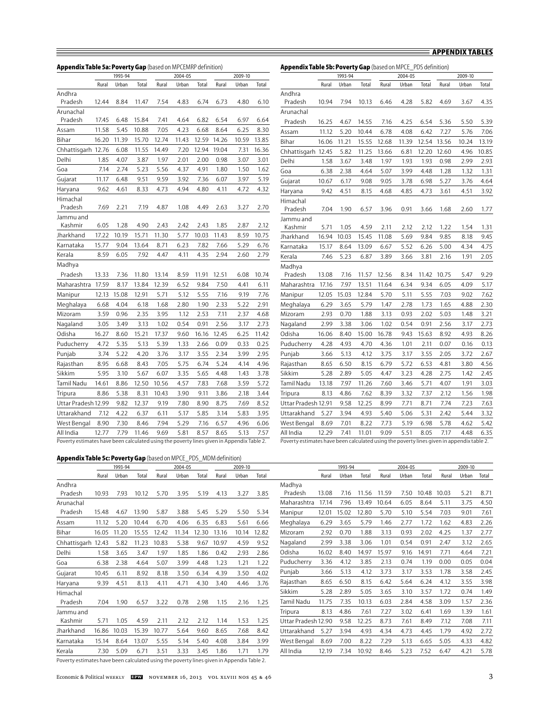|                     |       | 1993-94 |       | 2009-10<br>2004-05 |       |       |       |       |       |                     |       | 1993-94 |       |       | 2004-05 |       |       | 2009-10 |       |
|---------------------|-------|---------|-------|--------------------|-------|-------|-------|-------|-------|---------------------|-------|---------|-------|-------|---------|-------|-------|---------|-------|
|                     | Rural | Urban   | Total | Rural              | Urban | Total | Rural | Urban | Total |                     | Rural | Urban   | Total | Rural | Urban   | Total | Rural | Urban   | Total |
| Andhra<br>Pradesh   | 12.44 | 8.84    | 11.47 | 7.54               | 4.83  | 6.74  | 6.73  | 4.80  | 6.10  | Andhra<br>Pradesh   | 10.94 | 7.94    | 10.13 | 6.46  | 4.28    | 5.82  | 4.69  | 3.67    | 4.35  |
| Arunachal           |       |         |       |                    |       |       |       |       |       | Arunachal           |       |         |       |       |         |       |       |         |       |
| Pradesh             | 17.45 | 6.48    | 15.84 | 7.41               | 4.64  | 6.82  | 6.54  | 6.97  | 6.64  | Pradesh             | 16.25 | 4.67    | 14.55 | 7.16  | 4.25    | 6.54  | 5.36  | 5.50    | 5.39  |
| Assam               | 11.58 | 5.45    | 10.88 | 7.05               | 4.23  | 6.68  | 8.64  | 6.25  | 8.30  | Assam               | 11.12 | 5.20    | 10.44 | 6.78  | 4.08    | 6.42  | 7.27  | 5.76    | 7.06  |
| Bihar               | 16.20 | 11.39   | 15.70 | 12.74              | 11.43 | 12.59 | 14.26 | 10.59 | 13.85 | Bihar               | 16.06 | 11.21   | 15.55 | 12.68 | 11.39   | 12.54 | 13.56 | 10.24   | 13.19 |
| Chhattisgarh 12.76  |       | 6.08    | 11.55 | 14.49              | 7.20  | 12.94 | 19.04 | 7.31  | 16.36 | Chhattisgarh 12.45  |       | 5.82    | 11.25 | 13.66 | 6.81    | 12.20 | 12.60 | 4.96    | 10.85 |
| Delhi               | 1.85  | 4.07    | 3.87  | 1.97               | 2.01  | 2.00  | 0.98  | 3.07  | 3.01  | Delhi               | 1.58  | 3.67    | 3.48  | 1.97  | 1.93    | 1.93  | 0.98  | 2.99    | 2.93  |
| Goa                 | 7.14  | 2.74    | 5.23  | 5.56               | 4.37  | 4.91  | 1.80  | 1.50  | 1.62  | Goa                 | 6.38  | 2.38    | 4.64  | 5.07  | 3.99    | 4.48  | 1.28  | 1.32    | 1.31  |
| Gujarat             | 11.17 | 6.48    | 9.51  | 9.59               | 3.92  | 7.36  | 6.07  | 3.97  | 5.19  | Gujarat             | 10.67 | 6.17    | 9.08  | 9.05  | 3.78    | 6.98  | 5.27  | 3.76    | 4.64  |
| Haryana             | 9.62  | 4.61    | 8.33  | 4.73               | 4.94  | 4.80  | 4.11  | 4.72  | 4.32  | Haryana             | 9.42  | 4.51    | 8.15  | 4.68  | 4.85    | 4.73  | 3.61  | 4.51    | 3.92  |
| Himachal<br>Pradesh | 7.69  | 2.21    | 7.19  | 4.87               | 1.08  | 4.49  | 2.63  | 3.27  | 2.70  | Himachal<br>Pradesh | 7.04  | 1.90    | 6.57  | 3.96  | 0.91    | 3.66  | 1.68  | 2.60    | 1.77  |
| Jammu and           |       |         |       |                    |       |       |       |       |       | Jammu and           |       |         |       |       |         |       |       |         |       |
| Kashmir             | 6.05  | 1.28    | 4.90  | 2.43               | 2.42  | 2.43  | 1.85  | 2.87  | 2.12  | Kashmir             | 5.71  | 1.05    | 4.59  | 2.11  | 2.12    | 2.12  | 1.22  | 1.54    | 1.31  |
| Jharkhand           | 17.22 | 10.19   | 15.71 | 11.30              | 5.77  | 10.03 | 11.43 | 8.59  | 10.75 | Jharkhand           | 16.94 | 10.03   | 15.45 | 11.08 | 5.69    | 9.84  | 9.85  | 8.18    | 9.45  |
| Karnataka           | 15.77 | 9.04    | 13.64 | 8.71               | 6.23  | 7.82  | 7.66  | 5.29  | 6.76  | Karnataka           | 15.17 | 8.64    | 13.09 | 6.67  | 5.52    | 6.26  | 5.00  | 4.34    | 4.75  |
| Kerala              | 8.59  | 6.05    | 7.92  | 4.47               | 4.11  | 4.35  | 2.94  | 2.60  | 2.79  | Kerala              | 7.46  | 5.23    | 6.87  | 3.89  | 3.66    | 3.81  | 2.16  | 1.91    | 2.05  |
| Madhya              |       |         |       |                    |       |       |       |       |       | Madhya              |       |         |       |       |         |       |       |         |       |
| Pradesh             | 13.33 | 7.36    | 11.80 | 13.14              | 8.59  | 11.91 | 12.51 | 6.08  | 10.74 | Pradesh             | 13.08 | 7.16    | 11.57 | 12.56 | 8.34    | 11.42 | 10.75 | 5.47    | 9.29  |
| Maharashtra         | 17.59 | 8.17    | 13.84 | 12.39              | 6.52  | 9.84  | 7.50  | 4.41  | 6.11  | Maharashtra         | 17.16 | 7.97    | 13.51 | 11.64 | 6.34    | 9.34  | 6.05  | 4.09    | 5.17  |
| Manipur             | 12.13 | 15.08   | 12.91 | 5.71               | 5.12  | 5.55  | 7.16  | 9.19  | 7.76  | Manipur             | 12.05 | 15.03   | 12.84 | 5.70  | 5.11    | 5.55  | 7.03  | 9.02    | 7.62  |
| Meghalaya           | 6.68  | 4.04    | 6.18  | 1.68               | 2.80  | 1.90  | 2.33  | 5.22  | 2.91  | Meghalaya           | 6.29  | 3.65    | 5.79  | 1.47  | 2.78    | 1.73  | 1.65  | 4.88    | 2.30  |
| Mizoram             | 3.59  | 0.96    | 2.35  | 3.95               | 1.12  | 2.53  | 7.11  | 2.37  | 4.68  | Mizoram             | 2.93  | 0.70    | 1.88  | 3.13  | 0.93    | 2.02  | 5.03  | 1.48    | 3.21  |
| Nagaland            | 3.05  | 3.49    | 3.13  | 1.02               | 0.54  | 0.91  | 2.56  | 3.17  | 2.73  | Nagaland            | 2.99  | 3.38    | 3.06  | 1.02  | 0.54    | 0.91  | 2.56  | 3.17    | 2.73  |
| Odisha              | 16.27 | 8.60    | 15.21 | 17.37              | 9.60  | 16.16 | 12.45 | 6.25  | 11.42 | Odisha              | 16.06 | 8.40    | 15.00 | 16.78 | 9.43    | 15.63 | 8.92  | 4.93    | 8.26  |
| Puducherry          | 4.72  | 5.35    | 5.13  | 5.39               | 1.33  | 2.66  | 0.09  | 0.33  | 0.25  | Puducherry          | 4.28  | 4.93    | 4.70  | 4.36  | 1.01    | 2.11  | 0.07  | 0.16    | 0.13  |
| Punjab              | 3.74  | 5.22    | 4.20  | 3.76               | 3.17  | 3.55  | 2.34  | 3.99  | 2.95  | Punjab              | 3.66  | 5.13    | 4.12  | 3.75  | 3.17    | 3.55  | 2.05  | 3.72    | 2.67  |
| Rajasthan           | 8.95  | 6.68    | 8.43  | 7.05               | 5.75  | 6.74  | 5.24  | 4.14  | 4.96  | Rajasthan           | 8.65  | 6.50    | 8.15  | 6.79  | 5.72    | 6.53  | 4.81  | 3.80    | 4.56  |
| Sikkim              | 5.95  | 3.10    | 5.67  | 6.07               | 3.35  | 5.65  | 4.48  | 1.43  | 3.78  | Sikkim              | 5.28  | 2.89    | 5.05  | 4.47  | 3.23    | 4.28  | 2.75  | 1.42    | 2.45  |
| Tamil Nadu          | 14.61 | 8.86    | 12.50 | 10.56              | 4.57  | 7.83  | 7.68  | 3.59  | 5.72  | Tamil Nadu          | 13.18 | 7.97    | 11.26 | 7.60  | 3.46    | 5.71  | 4.07  | 1.91    | 3.03  |
| Tripura             | 8.86  | 5.38    | 8.31  | 10.43              | 3.90  | 9.11  | 3.86  | 2.18  | 3.44  | Tripura             | 8.13  | 4.86    | 7.62  | 8.39  | 3.32    | 7.37  | 2.12  | 1.56    | 1.98  |
| Uttar Pradesh 12.99 |       | 9.82    | 12.37 | 9.19               | 7.80  | 8.90  | 8.75  | 7.69  | 8.52  | Uttar Pradesh 12.91 |       | 9.58    | 12.25 | 8.99  | 7.71    | 8.71  | 7.74  | 7.23    | 7.63  |
| Uttarakhand         | 7.12  | 4.22    | 6.37  | 6.11               | 5.17  | 5.85  | 3.14  | 5.83  | 3.95  | Uttarakhand         | 5.27  | 3.94    | 4.93  | 5.40  | 5.06    | 5.31  | 2.42  | 5.44    | 3.32  |
| West Bengal         | 8.90  | 7.30    | 8.46  | 7.94               | 5.29  | 7.16  | 6.57  | 4.96  | 6.06  | West Bengal         | 8.69  | 7.01    | 8.22  | 7.73  | 5.19    | 6.98  | 5.78  | 4.62    | 5.42  |
|                     |       |         |       |                    |       |       |       |       |       |                     |       |         |       |       |         |       |       |         | 6.35  |

#### **Appendix Table 5c: Poverty Gap** (based on MPCE\_PDS\_MDM definition)

 $\equiv$ 

|                    | 1993-94 |       |       | 2004-05 |                             |       | 2009-10 |       |       |                     | 1993-94 |       |       |       | 2004-05 |       | 2009-10 |       |       |
|--------------------|---------|-------|-------|---------|-----------------------------|-------|---------|-------|-------|---------------------|---------|-------|-------|-------|---------|-------|---------|-------|-------|
|                    | Rural   | Urban | Total | Rural   | Urban                       | Total | Rural   | Urban | Total |                     | Rural   | Urban | Total | Rural | Urban   | Total | Rural   | Urban | Total |
| Andhra<br>Pradesh  | 10.93   | 7.93  | 10.12 | 5.70    | 3.95                        | 5.19  | 4.13    | 3.27  | 3.85  | Madhva<br>Pradesh   | 13.08   | 7.16  | 11.56 | 11.59 | 7.50    | 10.48 | 10.03   | 5.21  | 8.7   |
| Arunachal          |         |       |       |         |                             |       |         |       |       | Maharashtra         | 17.14   | 7.96  | 13.49 | 10.64 | 6.05    | 8.64  | 5.11    | 3.75  | 4.5   |
| Pradesh            | 15.48   | 4.67  | 13.90 | 5.87    | 3.88                        | 5.45  | 5.29    | 5.50  | 5.34  | Manipur             | 12.01   | 15.02 | 12.80 | 5.70  | 5.10    | 5.54  | 7.03    | 9.01  | 7.6   |
| Assam              | 11.12   | 5.20  | 10.44 | 6.70    | 4.06                        | 6.35  | 6.83    | 5.61  | 6.66  | Meghalaya           | 6.29    | 3.65  | 5.79  | 1.46  | 2.77    | 1.72  | 1.62    | 4.83  | 2.2   |
| Bihar              | 16.05   | 11.20 | 15.55 | 12.42   | 11.34                       | 12.30 | 13.16   | 10.14 | 12.82 | Mizoram             | 2.92    | 0.70  | 1.88  | 3.13  | 0.93    | 2.02  | 4.25    | 1.37  | 2.7   |
| Chhattisgarh 12.43 |         | 5.82  | 11.23 | 10.83   | 5.38                        | 9.67  | 10.97   | 4.59  | 9.52  | Nagaland            | 2.99    | 3.38  | 3.06  | 1.01  | 0.54    | 0.91  | 2.47    | 3.12  | 2.6   |
| Delhi              | 1.58    | 3.65  | 3.47  | 1.97    | 1.85                        | 1.86  | 0.42    | 2.93  | 2.86  | Odisha              | 16.02   | 8.40  | 14.97 | 15.97 | 9.16    | 14.91 | 7.71    | 4.64  | 7.2   |
| Goa                | 6.38    | 2.38  | 4.64  | 5.07    | 3.99                        | 4.48  | 1.23    | 1.21  | 1.22  | Puducherry          | 3.36    | 4.12  | 3.85  | 2.13  | 0.74    | 1.19  | 0.00    | 0.05  | 0.0   |
| Gujarat            | 10.45   | 6.11  | 8.92  | 8.18    | 3.50                        | 6.34  | 4.39    | 3.50  | 4.02  | Punjab              | 3.66    | 5.13  | 4.12  | 3.73  | 3.17    | 3.53  | 1.78    | 3.58  | 2.4   |
| Haryana            | 9.39    | 4.51  | 8.13  | 4.11    | 4.71                        | 4.30  | 3.40    | 4.46  | 3.76  | Rajasthan           | 8.65    | 6.50  | 8.15  | 6.42  | 5.64    | 6.24  | 4.12    | 3.55  | 3.9   |
| Himachal           |         |       |       |         |                             |       |         |       |       | Sikkim              | 5.28    | 2.89  | 5.05  | 3.65  | 3.10    | 3.57  | 1.72    | 0.74  | 1.4   |
| Pradesh            | 7.04    | 1.90  | 6.57  | 3.22    | 0.78                        | 2.98  | 1.15    | 2.16  | 1.25  | Tamil Nadu          | 11.75   | 7.35  | 10.13 | 6.03  | 2.84    | 4.58  | 3.09    | 1.57  | 2.3   |
| Jammu and          |         |       |       |         |                             |       |         |       |       | Tripura             | 8.13    | 4.86  | 7.61  | 7.27  | 3.02    | 6.41  | 1.69    | 1.39  | 1.6   |
| Kashmir            | 5.71    | 1.05  | 4.59  | 2.11    | 2.12                        | 2.12  | 1.14    | 1.53  | 1.25  | Uttar Pradesh 12.90 |         | 9.58  | 12.25 | 8.73  | 7.61    | 8.49  | 7.12    | 7.08  | 7.1   |
| Jharkhand          | 16.86   | 10.03 | 15.39 | 10.77   | 5.64                        | 9.60  | 8.65    | 7.68  | 8.42  | Uttarakhand         | 5.27    | 3.94  | 4.93  | 4.34  | 4.73    | 4.45  | 1.79    | 4.92  | 2.7   |
| Karnataka          | 15.14   | 8.64  | 13.07 | 5.55    | 5.14                        | 5.40  | 4.08    | 3.84  | 3.99  | West Bengal         | 8.69    | 7.00  | 8.22  | 7.29  | 5.13    | 6.65  | 5.05    | 4.33  | 4.8   |
| Kerala             | 7.30    | 5.09  | 6.71  | 3.51    | 3.33                        | 3.45  | 1.86    | 1.71  | 1.79  | All India           | 12.19   | 7.34  | 10.92 | 8.46  | 5.23    | 7.52  | 6.47    | 4.21  | 5.7   |
| .                  |         |       | .     |         | $\sim$ $\sim$ $\sim$ $\sim$ |       |         | .     |       |                     |         |       |       |       |         |       |         |       |       |

|                     |       | 1993-94 |       |       | 2004-05 |       |       | ZUUY-IU |       |
|---------------------|-------|---------|-------|-------|---------|-------|-------|---------|-------|
|                     | Rural | Urban   | Total | Rural | Urban   | Total | Rural | Urban   | Total |
| Madhya              |       |         |       |       |         |       |       |         |       |
| Pradesh             | 13.08 | 7.16    | 11.56 | 11.59 | 7.50    | 10.48 | 10.03 | 5.21    | 8.71  |
| Maharashtra         | 17.14 | 7.96    | 13.49 | 10.64 | 6.05    | 8.64  | 5.11  | 3.75    | 4.50  |
| Manipur             | 12.01 | 15.02   | 12.80 | 5.70  | 5.10    | 5.54  | 7.03  | 9.01    | 7.61  |
| Meghalaya           | 6.29  | 3.65    | 5.79  | 1.46  | 2.77    | 1.72  | 1.62  | 4.83    | 2.26  |
| Mizoram             | 2.92  | 0.70    | 1.88  | 3.13  | 0.93    | 2.02  | 4.25  | 1.37    | 2.77  |
| Nagaland            | 2.99  | 3.38    | 3.06  | 1.01  | 0.54    | 0.91  | 2.47  | 3.12    | 2.65  |
| Odisha              | 16.02 | 8.40    | 14.97 | 15.97 | 9.16    | 14.91 | 7.71  | 4.64    | 7.21  |
| Puducherry          | 3.36  | 4.12    | 3.85  | 2.13  | 0.74    | 1.19  | 0.00  | 0.05    | 0.04  |
| Punjab              | 3.66  | 5.13    | 4.12  | 3.73  | 3.17    | 3.53  | 1.78  | 3.58    | 2.45  |
| Rajasthan           | 8.65  | 6.50    | 8.15  | 6.42  | 5.64    | 6.24  | 4.12  | 3.55    | 3.98  |
| Sikkim              | 5.28  | 2.89    | 5.05  | 3.65  | 3.10    | 3.57  | 1.72  | 0.74    | 1.49  |
| Tamil Nadu          | 11.75 | 7.35    | 10.13 | 6.03  | 2.84    | 4.58  | 3.09  | 1.57    | 2.36  |
| Tripura             | 8.13  | 4.86    | 7.61  | 7.27  | 3.02    | 6.41  | 1.69  | 1.39    | 1.61  |
| Uttar Pradesh 12.90 |       | 9.58    | 12.25 | 8.73  | 7.61    | 8.49  | 7.12  | 7.08    | 7.11  |
| Uttarakhand         | 5.27  | 3.94    | 4.93  | 4.34  | 4.73    | 4.45  | 1.79  | 4.92    | 2.72  |
| West Bengal         | 8.69  | 7.00    | 8.22  | 7.29  | 5.13    | 6.65  | 5.05  | 4.33    | 4.82  |
| All India           | 12.19 | 7.34    | 10.92 | 8.46  | 5.23    | 7.52  | 6.47  | 4.21    | 5.78  |
|                     |       |         |       |       |         |       |       |         |       |

Poverty estimates have been calculated using the poverty lines given in Appendix Table 2.